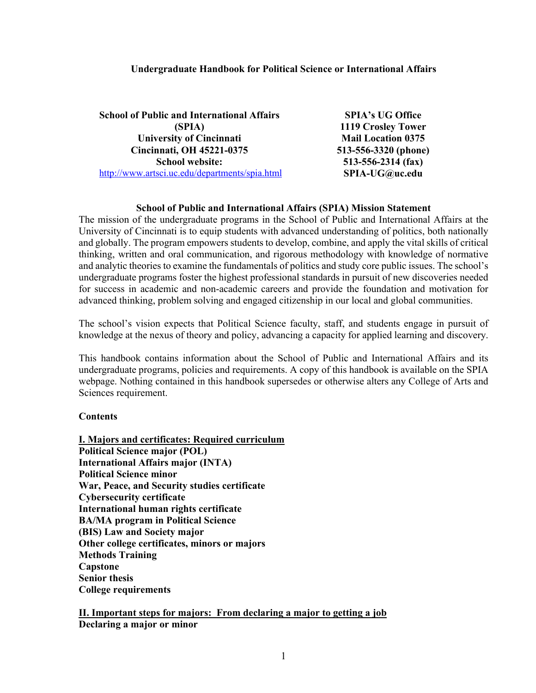### **Undergraduate Handbook for Political Science or International Affairs**

| <b>School of Public and International Affairs</b> | <b>SPIA's UG Office</b>   |
|---------------------------------------------------|---------------------------|
| (SPIA)                                            | 1119 Crosley Tower        |
| <b>University of Cincinnati</b>                   | <b>Mail Location 0375</b> |
| <b>Cincinnati, OH 45221-0375</b>                  | 513-556-3320 (phone)      |
| <b>School website:</b>                            | $513 - 556 - 2314$ (fax)  |
| http://www.artsci.uc.edu/departments/spia.html    | SPIA-UG@uc.edu            |

#### **School of Public and International Affairs (SPIA) Mission Statement**

The mission of the undergraduate programs in the School of Public and International Affairs at the University of Cincinnati is to equip students with advanced understanding of politics, both nationally and globally. The program empowers students to develop, combine, and apply the vital skills of critical thinking, written and oral communication, and rigorous methodology with knowledge of normative and analytic theories to examine the fundamentals of politics and study core public issues. The school's undergraduate programs foster the highest professional standards in pursuit of new discoveries needed for success in academic and non-academic careers and provide the foundation and motivation for advanced thinking, problem solving and engaged citizenship in our local and global communities.

The school's vision expects that Political Science faculty, staff, and students engage in pursuit of knowledge at the nexus of theory and policy, advancing a capacity for applied learning and discovery.

This handbook contains information about the School of Public and International Affairs and its undergraduate programs, policies and requirements. A copy of this handbook is available on the SPIA webpage. Nothing contained in this handbook supersedes or otherwise alters any College of Arts and Sciences requirement.

#### **Contents**

**I. Majors and certificates: Required curriculum Political Science major (POL) International Affairs major (INTA) Political Science minor War, Peace, and Security studies certificate Cybersecurity certificate International human rights certificate BA/MA program in Political Science (BIS) Law and Society major Other college certificates, minors or majors Methods Training Capstone Senior thesis College requirements**

**II. Important steps for majors: From declaring a major to getting a job Declaring a major or minor**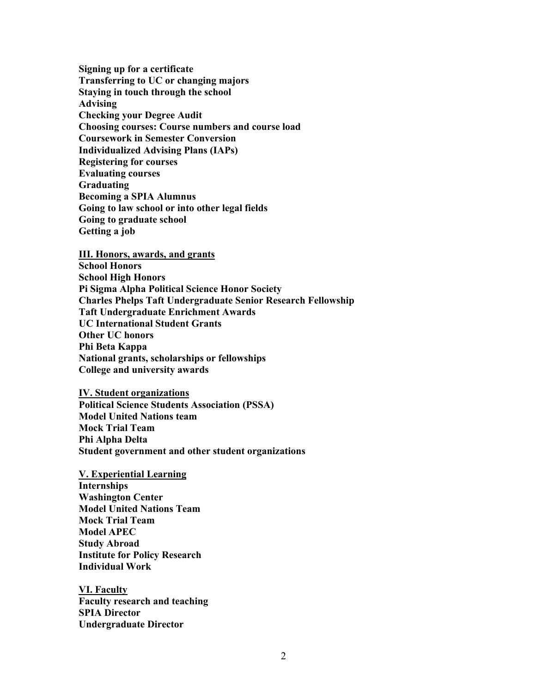**Signing up for a certificate Transferring to UC or changing majors Staying in touch through the school Advising Checking your Degree Audit Choosing courses: Course numbers and course load Coursework in Semester Conversion Individualized Advising Plans (IAPs) Registering for courses Evaluating courses Graduating Becoming a SPIA Alumnus Going to law school or into other legal fields Going to graduate school Getting a job**

**III. Honors, awards, and grants School Honors School High Honors Pi Sigma Alpha Political Science Honor Society Charles Phelps Taft Undergraduate Senior Research Fellowship Taft Undergraduate Enrichment Awards UC International Student Grants Other UC honors Phi Beta Kappa National grants, scholarships or fellowships College and university awards**

**IV. Student organizations Political Science Students Association (PSSA) Model United Nations team Mock Trial Team Phi Alpha Delta Student government and other student organizations**

**V. Experiential Learning Internships Washington Center Model United Nations Team Mock Trial Team Model APEC Study Abroad Institute for Policy Research Individual Work**

**VI. Faculty Faculty research and teaching SPIA Director Undergraduate Director**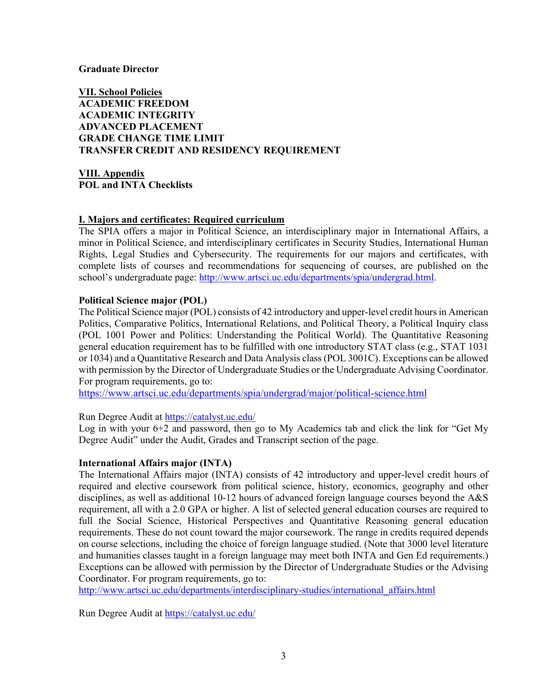## **Graduate Director**

**VII. School Policies ACADEMIC FREEDOM ACADEMIC INTEGRITY ADVANCED PLACEMENT GRADE CHANGE TIME LIMIT TRANSFER CREDIT AND RESIDENCY REQUIREMENT**

**VIII. Appendix POL and INTA Checklists**

## **I. Majors and certificates: Required curriculum**

The SPIA offers a major in Political Science, an interdisciplinary major in International Affairs, a minor in Political Science, and interdisciplinary certificates in Security Studies, International Human Rights, Legal Studies and Cybersecurity. The requirements for our majors and certificates, with complete lists of courses and recommendations for sequencing of courses, are published on the school's undergraduate page: [http://www.artsci.uc.edu/departments/spia/undergrad.html.](http://www.artsci.uc.edu/departments/spia/undergrad.html)

# **Political Science major (POL)**

The Political Science major (POL) consists of 42 introductory and upper-level credit hours in American Politics, Comparative Politics, International Relations, and Political Theory, a Political Inquiry class (POL 1001 Power and Politics: Understanding the Political World). The Quantitative Reasoning general education requirement has to be fulfilled with one introductory STAT class (e.g., STAT 1031 or 1034) and a Quantitative Research and Data Analysis class (POL 3001C). Exceptions can be allowed with permission by the Director of Undergraduate Studies or the Undergraduate Advising Coordinator. For program requirements, go to:

<https://www.artsci.uc.edu/departments/spia/undergrad/major/political-science.html>

## Run Degree Audit at<https://catalyst.uc.edu/>

Log in with your 6+2 and password, then go to My Academics tab and click the link for "Get My Degree Audit" under the Audit, Grades and Transcript section of the page.

## **International Affairs major (INTA)**

The International Affairs major (INTA) consists of 42 introductory and upper-level credit hours of required and elective coursework from political science, history, economics, geography and other disciplines, as well as additional 10-12 hours of advanced foreign language courses beyond the A&S requirement, all with a 2.0 GPA or higher. A list of selected general education courses are required to full the Social Science, Historical Perspectives and Quantitative Reasoning general education requirements. These do not count toward the major coursework. The range in credits required depends on course selections, including the choice of foreign language studied. (Note that 3000 level literature and humanities classes taught in a foreign language may meet both INTA and Gen Ed requirements.) Exceptions can be allowed with permission by the Director of Undergraduate Studies or the Advising Coordinator. For program requirements, go to:

[http://www.artsci.uc.edu/departments/interdisciplinary-studies/international\\_affairs.html](http://www.artsci.uc.edu/departments/interdisciplinary-studies/international_affairs.html)

Run Degree Audit at<https://catalyst.uc.edu/>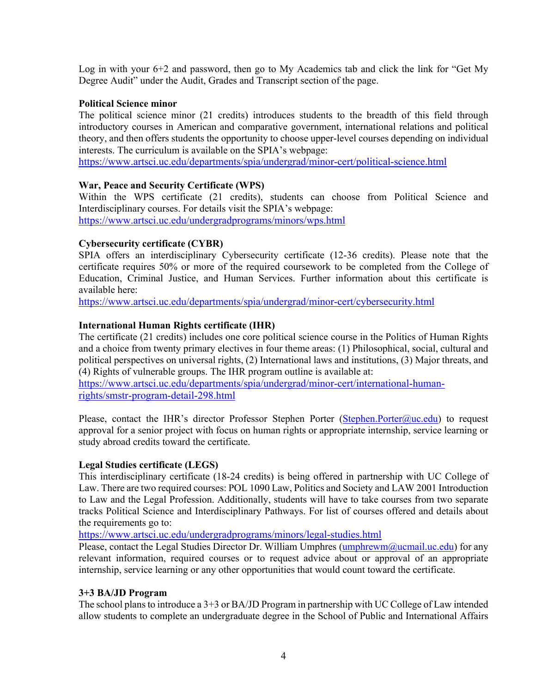Log in with your 6+2 and password, then go to My Academics tab and click the link for "Get My Degree Audit" under the Audit, Grades and Transcript section of the page.

# **Political Science minor**

The political science minor (21 credits) introduces students to the breadth of this field through introductory courses in American and comparative government, international relations and political theory, and then offers students the opportunity to choose upper-level courses depending on individual interests. The curriculum is available on the SPIA's webpage:

<https://www.artsci.uc.edu/departments/spia/undergrad/minor-cert/political-science.html>

# **War, Peace and Security Certificate (WPS)**

Within the WPS certificate (21 credits), students can choose from Political Science and Interdisciplinary courses. For details visit the SPIA's webpage: <https://www.artsci.uc.edu/undergradprograms/minors/wps.html>

# **Cybersecurity certificate (CYBR)**

SPIA offers an interdisciplinary Cybersecurity certificate (12-36 credits). Please note that the certificate requires 50% or more of the required coursework to be completed from the College of Education, Criminal Justice, and Human Services. Further information about this certificate is available here:

<https://www.artsci.uc.edu/departments/spia/undergrad/minor-cert/cybersecurity.html>

# **International Human Rights certificate (IHR)**

The certificate (21 credits) includes one core political science course in the Politics of Human Rights and a choice from twenty primary electives in four theme areas: (1) Philosophical, social, cultural and political perspectives on universal rights, (2) International laws and institutions, (3) Major threats, and (4) Rights of vulnerable groups. The IHR program outline is available at:

[https://www.artsci.uc.edu/departments/spia/undergrad/minor-cert/international-human](https://www.artsci.uc.edu/departments/spia/undergrad/minor-cert/international-human-rights/smstr-program-detail-298.html)[rights/smstr-program-detail-298.html](https://www.artsci.uc.edu/departments/spia/undergrad/minor-cert/international-human-rights/smstr-program-detail-298.html)

Please, contact the IHR's director Professor Stephen Porter [\(Stephen.Porter@uc.edu\)](mailto:Stephen.Porter@uc.edu) to request approval for a senior project with focus on human rights or appropriate internship, service learning or study abroad credits toward the certificate.

## **Legal Studies certificate (LEGS)**

This interdisciplinary certificate (18-24 credits) is being offered in partnership with UC College of Law. There are two required courses: POL 1090 Law, Politics and Society and LAW 2001 Introduction to Law and the Legal Profession. Additionally, students will have to take courses from two separate tracks Political Science and Interdisciplinary Pathways. For list of courses offered and details about the requirements go to:

<https://www.artsci.uc.edu/undergradprograms/minors/legal-studies.html>

Please, contact the Legal Studies Director Dr. William Umphres [\(umphrewm@ucmail.uc.edu\)](mailto:umphrewm@ucmail.uc.edu) for any relevant information, required courses or to request advice about or approval of an appropriate internship, service learning or any other opportunities that would count toward the certificate.

## **3+3 BA/JD Program**

The school plans to introduce a 3+3 or BA/JD Program in partnership with UC College of Law intended allow students to complete an undergraduate degree in the School of Public and International Affairs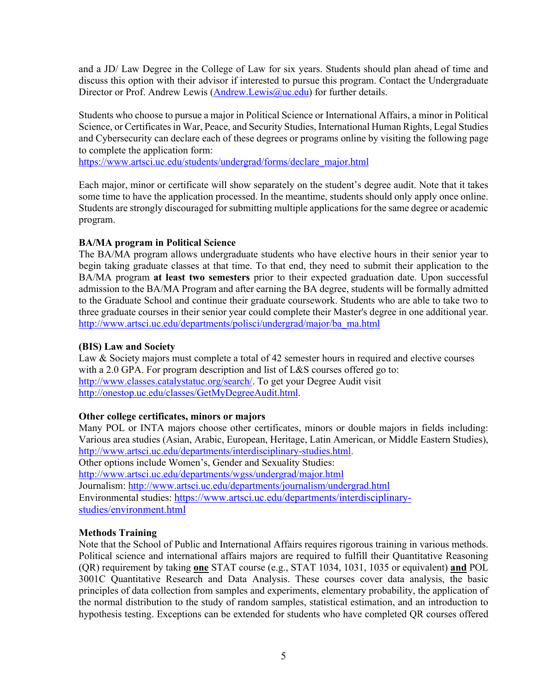and a JD/ Law Degree in the College of Law for six years. Students should plan ahead of time and discuss this option with their advisor if interested to pursue this program. Contact the Undergraduate Director or Prof. Andrew Lewis [\(Andrew.Lewis@uc.edu\)](mailto:Andrew.Lewis@uc.edu) for further details.

Students who choose to pursue a major in Political Science or International Affairs, a minor in Political Science, or Certificates in War, Peace, and Security Studies, International Human Rights, Legal Studies and Cybersecurity can declare each of these degrees or programs online by visiting the following page to complete the application form:

[https://www.artsci.uc.edu/students/undergrad/forms/declare\\_major.html](https://www.artsci.uc.edu/students/undergrad/forms/declare_major.html)

Each major, minor or certificate will show separately on the student's degree audit. Note that it takes some time to have the application processed. In the meantime, students should only apply once online. Students are strongly discouraged for submitting multiple applications for the same degree or academic program.

# **BA/MA program in Political Science**

The BA/MA program allows undergraduate students who have elective hours in their senior year to begin taking graduate classes at that time. To that end, they need to submit their application to the BA/MA program **at least two semesters** prior to their expected graduation date. Upon successful admission to the BA/MA Program and after earning the BA degree, students will be formally admitted to the Graduate School and continue their graduate coursework. Students who are able to take two to three graduate courses in their senior year could complete their Master's degree in one additional year. [http://www.artsci.uc.edu/departments/polisci/undergrad/major/ba\\_ma.html](http://www.artsci.uc.edu/departments/polisci/undergrad/major/ba_ma.html)

# **(BIS) Law and Society**

Law & Society majors must complete a total of 42 semester hours in required and elective courses with a 2.0 GPA. For program description and list of L&S courses offered go to: [http://www.classes.catalystatuc.org/search/.](http://www.classes.catalystatuc.org/search/) To get your Degree Audit visit [http://onestop.uc.edu/classes/GetMyDegreeAudit.html.](http://onestop.uc.edu/classes/GetMyDegreeAudit.html)

# **Other college certificates, minors or majors**

Many POL or INTA majors choose other certificates, minors or double majors in fields including: Various area studies (Asian, Arabic, European, Heritage, Latin American, or Middle Eastern Studies), [http://www.artsci.uc.edu/departments/interdisciplinary-studies.html.](http://www.artsci.uc.edu/departments/interdisciplinary-studies.html) Other options include Women's, Gender and Sexuality Studies: <http://www.artsci.uc.edu/departments/wgss/undergrad/major.html> Journalism:<http://www.artsci.uc.edu/departments/journalism/undergrad.html> Environmental studies: [https://www.artsci.uc.edu/departments/interdisciplinary](https://www.artsci.uc.edu/departments/interdisciplinary-studies/environment.html)[studies/environment.html](https://www.artsci.uc.edu/departments/interdisciplinary-studies/environment.html)

# **Methods Training**

Note that the School of Public and International Affairs requires rigorous training in various methods. Political science and international affairs majors are required to fulfill their Quantitative Reasoning (QR) requirement by taking **one** STAT course (e.g., STAT 1034, 1031, 1035 or equivalent) **and** POL 3001C Quantitative Research and Data Analysis. These courses cover data analysis, the basic principles of data collection from samples and experiments, elementary probability, the application of the normal distribution to the study of random samples, statistical estimation, and an introduction to hypothesis testing. Exceptions can be extended for students who have completed QR courses offered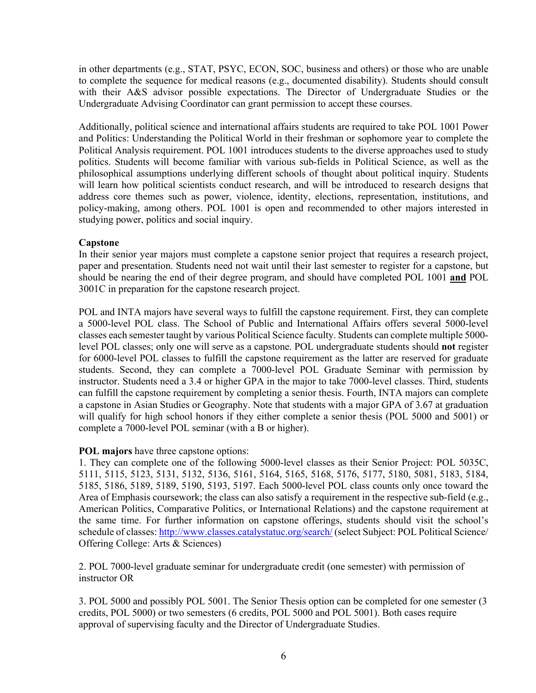in other departments (e.g., STAT, PSYC, ECON, SOC, business and others) or those who are unable to complete the sequence for medical reasons (e.g., documented disability). Students should consult with their A&S advisor possible expectations. The Director of Undergraduate Studies or the Undergraduate Advising Coordinator can grant permission to accept these courses.

Additionally, political science and international affairs students are required to take POL 1001 Power and Politics: Understanding the Political World in their freshman or sophomore year to complete the Political Analysis requirement. POL 1001 introduces students to the diverse approaches used to study politics. Students will become familiar with various sub-fields in Political Science, as well as the philosophical assumptions underlying different schools of thought about political inquiry. Students will learn how political scientists conduct research, and will be introduced to research designs that address core themes such as power, violence, identity, elections, representation, institutions, and policy-making, among others. POL 1001 is open and recommended to other majors interested in studying power, politics and social inquiry.

# **Capstone**

In their senior year majors must complete a capstone senior project that requires a research project, paper and presentation. Students need not wait until their last semester to register for a capstone, but should be nearing the end of their degree program, and should have completed POL 1001 **and** POL 3001C in preparation for the capstone research project.

POL and INTA majors have several ways to fulfill the capstone requirement. First, they can complete a 5000-level POL class. The School of Public and International Affairs offers several 5000-level classes each semester taught by various Political Science faculty. Students can complete multiple 5000 level POL classes; only one will serve as a capstone. POL undergraduate students should **not** register for 6000-level POL classes to fulfill the capstone requirement as the latter are reserved for graduate students. Second, they can complete a 7000-level POL Graduate Seminar with permission by instructor. Students need a 3.4 or higher GPA in the major to take 7000-level classes. Third, students can fulfill the capstone requirement by completing a senior thesis. Fourth, INTA majors can complete a capstone in Asian Studies or Geography. Note that students with a major GPA of 3.67 at graduation will qualify for high school honors if they either complete a senior thesis (POL 5000 and 5001) or complete a 7000-level POL seminar (with a B or higher).

# **POL majors** have three capstone options:

1. They can complete one of the following 5000-level classes as their Senior Project: POL 5035C, 5111, 5115, 5123, 5131, 5132, 5136, 5161, 5164, 5165, 5168, 5176, 5177, 5180, 5081, 5183, 5184, 5185, 5186, 5189, 5189, 5190, 5193, 5197. Each 5000-level POL class counts only once toward the Area of Emphasis coursework; the class can also satisfy a requirement in the respective sub-field (e.g., American Politics, Comparative Politics, or International Relations) and the capstone requirement at the same time. For further information on capstone offerings, students should visit the school's schedule of classes: <http://www.classes.catalystatuc.org/search/> (select Subject: POL Political Science/ Offering College: Arts & Sciences)

2. POL 7000-level graduate seminar for undergraduate credit (one semester) with permission of instructor OR

3. POL 5000 and possibly POL 5001. The Senior Thesis option can be completed for one semester (3 credits, POL 5000) or two semesters (6 credits, POL 5000 and POL 5001). Both cases require approval of supervising faculty and the Director of Undergraduate Studies.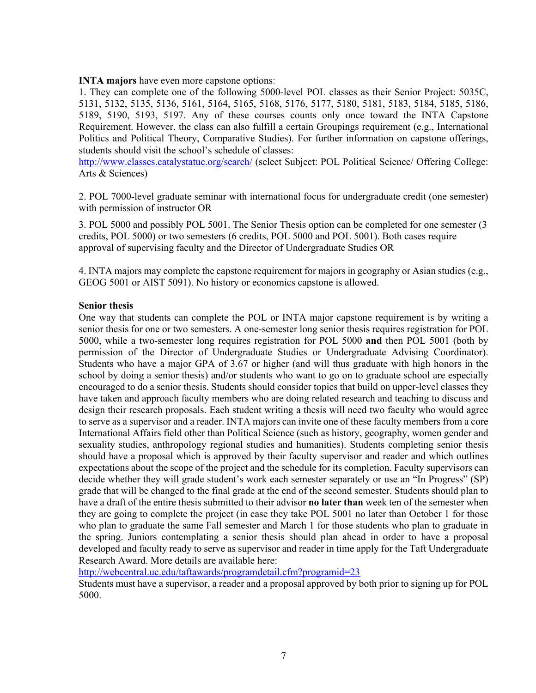**INTA majors** have even more capstone options:

1. They can complete one of the following 5000-level POL classes as their Senior Project: 5035C, 5131, 5132, 5135, 5136, 5161, 5164, 5165, 5168, 5176, 5177, 5180, 5181, 5183, 5184, 5185, 5186, 5189, 5190, 5193, 5197. Any of these courses counts only once toward the INTA Capstone Requirement. However, the class can also fulfill a certain Groupings requirement (e.g., International Politics and Political Theory, Comparative Studies). For further information on capstone offerings, students should visit the school's schedule of classes:

<http://www.classes.catalystatuc.org/search/> (select Subject: POL Political Science/ Offering College: Arts & Sciences)

2. POL 7000-level graduate seminar with international focus for undergraduate credit (one semester) with permission of instructor OR

3. POL 5000 and possibly POL 5001. The Senior Thesis option can be completed for one semester (3 credits, POL 5000) or two semesters (6 credits, POL 5000 and POL 5001). Both cases require approval of supervising faculty and the Director of Undergraduate Studies OR

4. INTA majors may complete the capstone requirement for majors in geography or Asian studies (e.g., GEOG 5001 or AIST 5091). No history or economics capstone is allowed.

# **Senior thesis**

One way that students can complete the POL or INTA major capstone requirement is by writing a senior thesis for one or two semesters. A one-semester long senior thesis requires registration for POL 5000, while a two-semester long requires registration for POL 5000 **and** then POL 5001 (both by permission of the Director of Undergraduate Studies or Undergraduate Advising Coordinator). Students who have a major GPA of 3.67 or higher (and will thus graduate with high honors in the school by doing a senior thesis) and/or students who want to go on to graduate school are especially encouraged to do a senior thesis. Students should consider topics that build on upper-level classes they have taken and approach faculty members who are doing related research and teaching to discuss and design their research proposals. Each student writing a thesis will need two faculty who would agree to serve as a supervisor and a reader. INTA majors can invite one of these faculty members from a core International Affairs field other than Political Science (such as history, geography, women gender and sexuality studies, anthropology regional studies and humanities). Students completing senior thesis should have a proposal which is approved by their faculty supervisor and reader and which outlines expectations about the scope of the project and the schedule for its completion. Faculty supervisors can decide whether they will grade student's work each semester separately or use an "In Progress" (SP) grade that will be changed to the final grade at the end of the second semester. Students should plan to have a draft of the entire thesis submitted to their advisor **no later than** week ten of the semester when they are going to complete the project (in case they take POL 5001 no later than October 1 for those who plan to graduate the same Fall semester and March 1 for those students who plan to graduate in the spring. Juniors contemplating a senior thesis should plan ahead in order to have a proposal developed and faculty ready to serve as supervisor and reader in time apply for the Taft Undergraduate Research Award. More details are available here:

<http://webcentral.uc.edu/taftawards/programdetail.cfm?programid=23>

Students must have a supervisor, a reader and a proposal approved by both prior to signing up for POL 5000.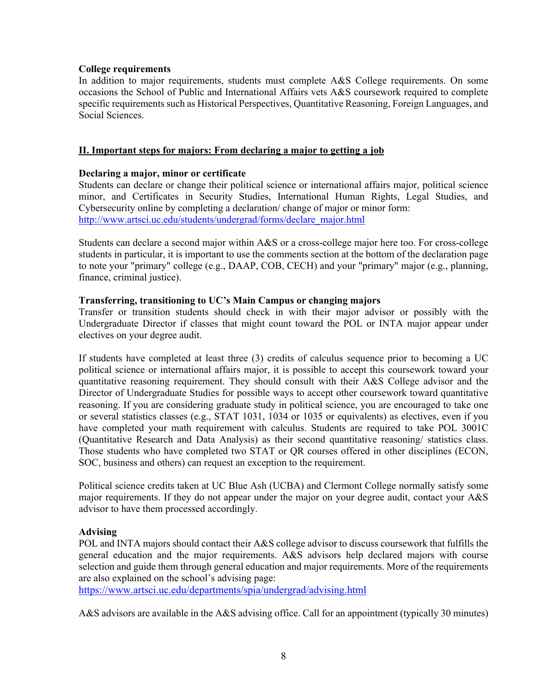# **College requirements**

In addition to major requirements, students must complete A&S College requirements. On some occasions the School of Public and International Affairs vets A&S coursework required to complete specific requirements such as Historical Perspectives, Quantitative Reasoning, Foreign Languages, and Social Sciences.

# **II. Important steps for majors: From declaring a major to getting a job**

# **Declaring a major, minor or certificate**

Students can declare or change their political science or international affairs major, political science minor, and Certificates in Security Studies, International Human Rights, Legal Studies, and Cybersecurity online by completing a declaration/ change of major or minor form: [http://www.artsci.uc.edu/students/undergrad/forms/declare\\_major.html](http://www.artsci.uc.edu/students/undergrad/forms/declare_major.html)

Students can declare a second major within A&S or a cross-college major here too. For cross-college students in particular, it is important to use the comments section at the bottom of the declaration page to note your "primary" college (e.g., DAAP, COB, CECH) and your "primary" major (e.g., planning, finance, criminal justice).

# **Transferring, transitioning to UC's Main Campus or changing majors**

Transfer or transition students should check in with their major advisor or possibly with the Undergraduate Director if classes that might count toward the POL or INTA major appear under electives on your degree audit.

If students have completed at least three (3) credits of calculus sequence prior to becoming a UC political science or international affairs major, it is possible to accept this coursework toward your quantitative reasoning requirement. They should consult with their A&S College advisor and the Director of Undergraduate Studies for possible ways to accept other coursework toward quantitative reasoning. If you are considering graduate study in political science, you are encouraged to take one or several statistics classes (e.g., STAT 1031, 1034 or 1035 or equivalents) as electives, even if you have completed your math requirement with calculus. Students are required to take POL 3001C (Quantitative Research and Data Analysis) as their second quantitative reasoning/ statistics class. Those students who have completed two STAT or QR courses offered in other disciplines (ECON, SOC, business and others) can request an exception to the requirement.

Political science credits taken at UC Blue Ash (UCBA) and Clermont College normally satisfy some major requirements. If they do not appear under the major on your degree audit, contact your A&S advisor to have them processed accordingly.

## **Advising**

POL and INTA majors should contact their A&S college advisor to discuss coursework that fulfills the general education and the major requirements. A&S advisors help declared majors with course selection and guide them through general education and major requirements. More of the requirements are also explained on the school's advising page:

<https://www.artsci.uc.edu/departments/spia/undergrad/advising.html>

A&S advisors are available in the A&S advising office. Call for an appointment (typically 30 minutes)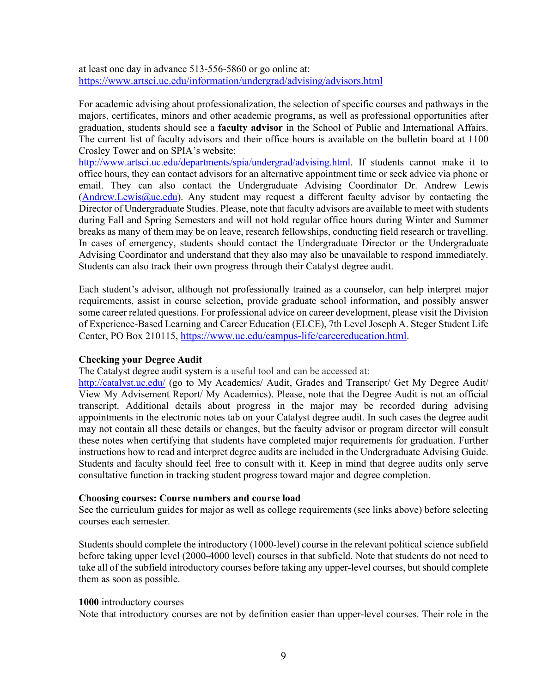at least one day in advance 513-556-5860 or go online at: <https://www.artsci.uc.edu/information/undergrad/advising/advisors.html>

For academic advising about professionalization, the selection of specific courses and pathways in the majors, certificates, minors and other academic programs, as well as professional opportunities after graduation, students should see a **faculty advisor** in the School of Public and International Affairs. The current list of faculty advisors and their office hours is available on the bulletin board at 1100 Crosley Tower and on SPIA's website:

[http://www.artsci.uc.edu/departments/spia/undergrad/advising.html.](http://www.artsci.uc.edu/departments/spia/undergrad/advising.html) If students cannot make it to office hours, they can contact advisors for an alternative appointment time or seek advice via phone or email. They can also contact the Undergraduate Advising Coordinator Dr. Andrew Lewis  $(Andrew.Lewis@uc.edu)$ . Any student may request a different faculty advisor by contacting the Director of Undergraduate Studies. Please, note that faculty advisors are available to meet with students during Fall and Spring Semesters and will not hold regular office hours during Winter and Summer breaks as many of them may be on leave, research fellowships, conducting field research or travelling. In cases of emergency, students should contact the Undergraduate Director or the Undergraduate Advising Coordinator and understand that they also may also be unavailable to respond immediately. Students can also track their own progress through their Catalyst degree audit.

Each student's advisor, although not professionally trained as a counselor, can help interpret major requirements, assist in course selection, provide graduate school information, and possibly answer some career related questions. For professional advice on career development, please visit the Division of Experience-Based Learning and Career Education (ELCE), 7th Level Joseph A. Steger Student Life Center, PO Box 210115, [https://www.uc.edu/campus-life/careereducation.html.](https://www.uc.edu/campus-life/careereducation.html)

# **Checking your Degree Audit**

The Catalyst degree audit system is a useful tool and can be accessed at:

<http://catalyst.uc.edu/> (go to My Academics/ Audit, Grades and Transcript/ Get My Degree Audit/ View My Advisement Report/ My Academics). Please, note that the Degree Audit is not an official transcript. Additional details about progress in the major may be recorded during advising appointments in the electronic notes tab on your Catalyst degree audit. In such cases the degree audit may not contain all these details or changes, but the faculty advisor or program director will consult these notes when certifying that students have completed major requirements for graduation. Further instructions how to read and interpret degree audits are included in the Undergraduate Advising Guide. Students and faculty should feel free to consult with it. Keep in mind that degree audits only serve consultative function in tracking student progress toward major and degree completion.

## **Choosing courses: Course numbers and course load**

See the curriculum guides for major as well as college requirements (see links above) before selecting courses each semester.

Students should complete the introductory (1000-level) course in the relevant political science subfield before taking upper level (2000-4000 level) courses in that subfield. Note that students do not need to take all of the subfield introductory courses before taking any upper-level courses, but should complete them as soon as possible.

## **1000** introductory courses

Note that introductory courses are not by definition easier than upper-level courses. Their role in the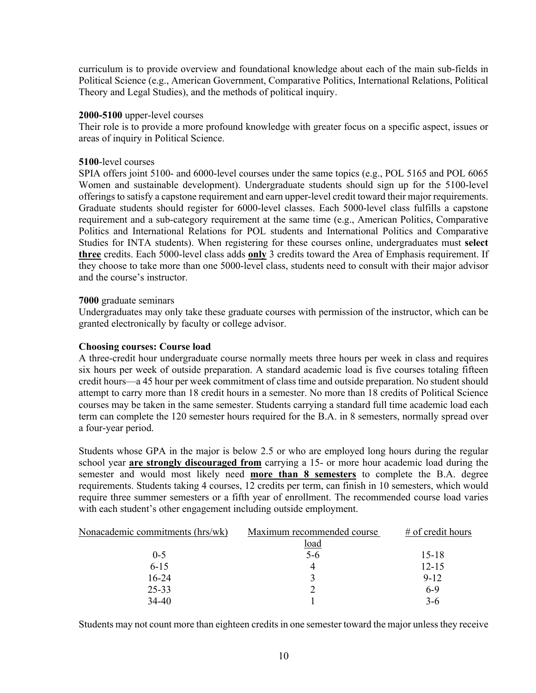curriculum is to provide overview and foundational knowledge about each of the main sub-fields in Political Science (e.g., American Government, Comparative Politics, International Relations, Political Theory and Legal Studies), and the methods of political inquiry.

## **2000-5100** upper-level courses

Their role is to provide a more profound knowledge with greater focus on a specific aspect, issues or areas of inquiry in Political Science.

### **5100**-level courses

SPIA offers joint 5100- and 6000-level courses under the same topics (e.g., POL 5165 and POL 6065 Women and sustainable development). Undergraduate students should sign up for the 5100-level offerings to satisfy a capstone requirement and earn upper-level credit toward their major requirements. Graduate students should register for 6000-level classes. Each 5000-level class fulfills a capstone requirement and a sub-category requirement at the same time (e.g., American Politics, Comparative Politics and International Relations for POL students and International Politics and Comparative Studies for INTA students). When registering for these courses online, undergraduates must **select three** credits. Each 5000-level class adds **only** 3 credits toward the Area of Emphasis requirement. If they choose to take more than one 5000-level class, students need to consult with their major advisor and the course's instructor.

## **7000** graduate seminars

Undergraduates may only take these graduate courses with permission of the instructor, which can be granted electronically by faculty or college advisor.

## **Choosing courses: Course load**

A three-credit hour undergraduate course normally meets three hours per week in class and requires six hours per week of outside preparation. A standard academic load is five courses totaling fifteen credit hours—a 45 hour per week commitment of class time and outside preparation. No student should attempt to carry more than 18 credit hours in a semester. No more than 18 credits of Political Science courses may be taken in the same semester. Students carrying a standard full time academic load each term can complete the 120 semester hours required for the B.A. in 8 semesters, normally spread over a four-year period.

Students whose GPA in the major is below 2.5 or who are employed long hours during the regular school year **are strongly discouraged from** carrying a 15- or more hour academic load during the semester and would most likely need **more than 8 semesters** to complete the B.A. degree requirements. Students taking 4 courses, 12 credits per term, can finish in 10 semesters, which would require three summer semesters or a fifth year of enrollment. The recommended course load varies with each student's other engagement including outside employment.

| Nonacademic commitments (hrs/wk) | Maximum recommended course | # of credit hours |
|----------------------------------|----------------------------|-------------------|
|                                  | <u>load</u>                |                   |
| $0 - 5$                          | $5-6$                      | $15 - 18$         |
| $6 - 15$                         |                            | $12 - 15$         |
| $16-24$                          |                            | $9 - 12$          |
| 25-33                            |                            | $6-9$             |
| $34 - 40$                        |                            | $3-6$             |

Students may not count more than eighteen credits in one semester toward the major unless they receive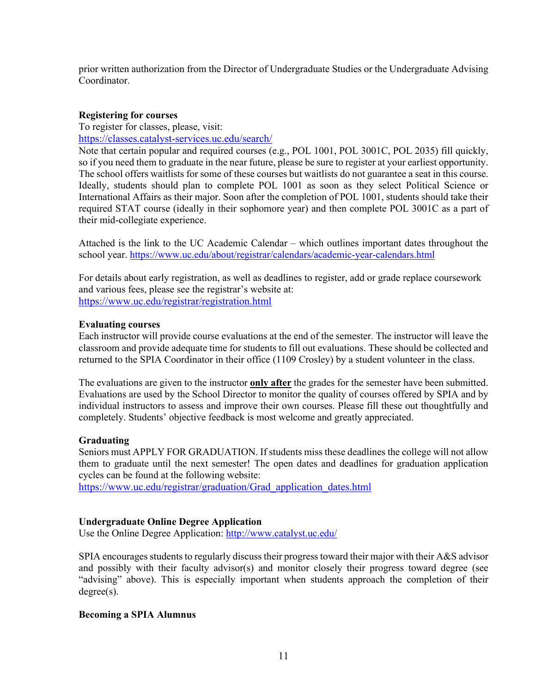prior written authorization from the Director of Undergraduate Studies or the Undergraduate Advising Coordinator.

# **Registering for courses**

To register for classes, please, visit:

<https://classes.catalyst-services.uc.edu/search/>

Note that certain popular and required courses (e.g., POL 1001, POL 3001C, POL 2035) fill quickly, so if you need them to graduate in the near future, please be sure to register at your earliest opportunity. The school offers waitlists for some of these courses but waitlists do not guarantee a seat in this course. Ideally, students should plan to complete POL 1001 as soon as they select Political Science or International Affairs as their major. Soon after the completion of POL 1001, students should take their required STAT course (ideally in their sophomore year) and then complete POL 3001C as a part of their mid-collegiate experience.

Attached is the link to the UC Academic Calendar – which outlines important dates throughout the school year.<https://www.uc.edu/about/registrar/calendars/academic-year-calendars.html>

For details about early registration, as well as deadlines to register, add or grade replace coursework and various fees, please see the registrar's website at: <https://www.uc.edu/registrar/registration.html>

# **Evaluating courses**

Each instructor will provide course evaluations at the end of the semester. The instructor will leave the classroom and provide adequate time for students to fill out evaluations. These should be collected and returned to the SPIA Coordinator in their office (1109 Crosley) by a student volunteer in the class.

The evaluations are given to the instructor **only after** the grades for the semester have been submitted. Evaluations are used by the School Director to monitor the quality of courses offered by SPIA and by individual instructors to assess and improve their own courses. Please fill these out thoughtfully and completely. Students' objective feedback is most welcome and greatly appreciated.

## **Graduating**

Seniors must APPLY FOR GRADUATION. If students miss these deadlines the college will not allow them to graduate until the next semester! The open dates and deadlines for graduation application cycles can be found at the following website:

[https://www.uc.edu/registrar/graduation/Grad\\_application\\_dates.html](https://www.uc.edu/registrar/graduation/Grad_application_dates.html)

## **Undergraduate Online Degree Application**

Use the Online Degree Application:<http://www.catalyst.uc.edu/>

SPIA encourages students to regularly discuss their progress toward their major with their A&S advisor and possibly with their faculty advisor(s) and monitor closely their progress toward degree (see "advising" above). This is especially important when students approach the completion of their degree(s).

## **Becoming a SPIA Alumnus**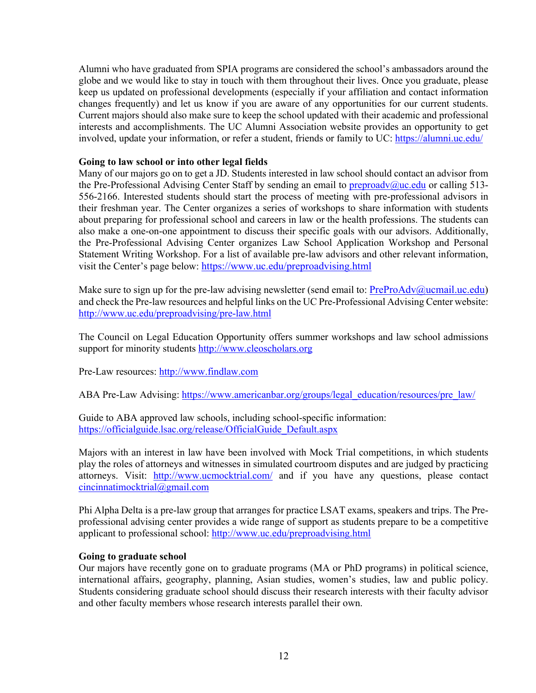Alumni who have graduated from SPIA programs are considered the school's ambassadors around the globe and we would like to stay in touch with them throughout their lives. Once you graduate, please keep us updated on professional developments (especially if your affiliation and contact information changes frequently) and let us know if you are aware of any opportunities for our current students. Current majors should also make sure to keep the school updated with their academic and professional interests and accomplishments. The UC Alumni Association website provides an opportunity to get involved, update your information, or refer a student, friends or family to UC:<https://alumni.uc.edu/>

# **Going to law school or into other legal fields**

Many of our majors go on to get a JD. Students interested in law school should contact an advisor from the Pre-Professional Advising Center Staff by sending an email to [preproadv@uc.edu](mailto:preproadv@uc.edu) or calling 513-556-2166. Interested students should start the process of meeting with pre-professional advisors in their freshman year. The Center organizes a series of workshops to share information with students about preparing for professional school and careers in law or the health professions. The students can also make a one-on-one appointment to discuss their specific goals with our advisors. Additionally, the Pre-Professional Advising Center organizes Law School Application Workshop and Personal Statement Writing Workshop. For a list of available pre-law advisors and other relevant information, visit the Center's page below: <https://www.uc.edu/preproadvising.html>

Make sure to sign up for the pre-law advising newsletter (send email to:  $PreProofa(v \alpha)$ ucmail.uc.edu) and check the Pre-law resources and helpful links on the UC Pre-Professional Advising Center website: <http://www.uc.edu/preproadvising/pre-law.html>

The [Council on Legal Education Opportunity](http://www.cleoscholars.org/) offers summer workshops and law school admissions support for minority students [http://www.cleoscholars.org](http://www.cleoscholars.org/)

[Pre-Law resources:](http://stu.findlaw.com/prelaw) http://www.findlaw.com

[ABA Pre-Law Advising:](http://www.abanet.org/legaled/prelaw/prep.html) [https://www.americanbar.org/groups/legal\\_education/resources/pre\\_law/](https://www.americanbar.org/groups/legal_education/resources/pre_law/)

Guide to ABA approved law schools, including school-specific information: [https://officialguide.lsac.org/release/OfficialGuide\\_Default.aspx](https://officialguide.lsac.org/release/OfficialGuide_Default.aspx)

Majors with an interest in law have been involved with Mock Trial competitions, in which students play the roles of attorneys and witnesses in simulated courtroom disputes and are judged by practicing attorneys. Visit: <http://www.ucmocktrial.com/> and if you have any questions, please contact [cincinnatimocktrial@gmail.com](mailto:cincinnatimocktrial@gmail.com)

Phi Alpha Delta is a pre-law group that arranges for practice LSAT exams, speakers and trips. The Preprofessional advising center provides a wide range of support as students prepare to be a competitive applicant to professional school: <http://www.uc.edu/preproadvising.html>

## **Going to graduate school**

Our majors have recently gone on to graduate programs (MA or PhD programs) in political science, international affairs, geography, planning, Asian studies, women's studies, law and public policy. Students considering graduate school should discuss their research interests with their faculty advisor and other faculty members whose research interests parallel their own.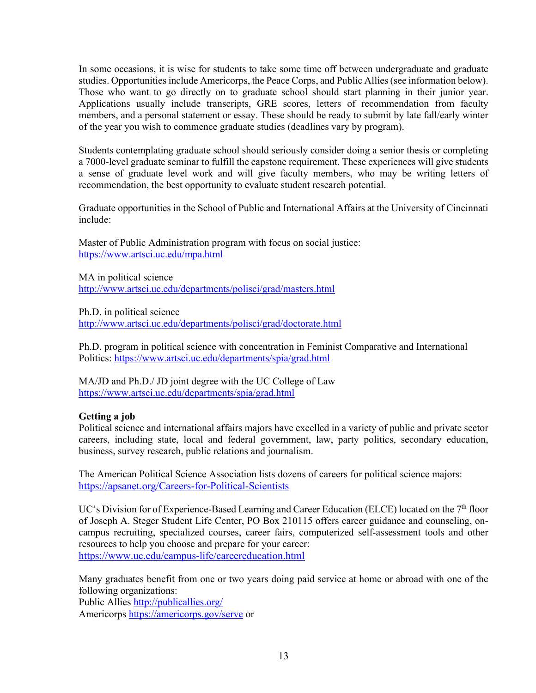In some occasions, it is wise for students to take some time off between undergraduate and graduate studies. Opportunities include Americorps, the Peace Corps, and Public Allies(see information below). Those who want to go directly on to graduate school should start planning in their junior year. Applications usually include transcripts, GRE scores, letters of recommendation from faculty members, and a personal statement or essay. These should be ready to submit by late fall/early winter of the year you wish to commence graduate studies (deadlines vary by program).

Students contemplating graduate school should seriously consider doing a senior thesis or completing a 7000-level graduate seminar to fulfill the capstone requirement. These experiences will give students a sense of graduate level work and will give faculty members, who may be writing letters of recommendation, the best opportunity to evaluate student research potential.

Graduate opportunities in the School of Public and International Affairs at the University of Cincinnati include:

Master of Public Administration program with focus on social justice: <https://www.artsci.uc.edu/mpa.html>

MA in political science <http://www.artsci.uc.edu/departments/polisci/grad/masters.html>

Ph.D. in political science <http://www.artsci.uc.edu/departments/polisci/grad/doctorate.html>

Ph.D. program in political science with concentration in Feminist Comparative and International Politics:<https://www.artsci.uc.edu/departments/spia/grad.html>

MA/JD and Ph.D./ JD joint degree with the UC College of Law <https://www.artsci.uc.edu/departments/spia/grad.html>

# **Getting a job**

Political science and international affairs majors have excelled in a variety of public and private sector careers, including state, local and federal government, law, party politics, secondary education, business, survey research, public relations and journalism.

The American Political Science Association lists dozens of careers for political science majors: <https://apsanet.org/Careers-for-Political-Scientists>

UC's Division for of Experience-Based Learning and Career Education (ELCE) located on the  $7<sup>th</sup>$  floor of Joseph A. Steger Student Life Center, PO Box 210115 offers career guidance and counseling, oncampus recruiting, specialized courses, career fairs, computerized self-assessment tools and other resources to help you choose and prepare for your career: <https://www.uc.edu/campus-life/careereducation.html>

Many graduates benefit from one or two years doing paid service at home or abroad with one of the following organizations:

Public Allies<http://publicallies.org/> Americorps<https://americorps.gov/serve> or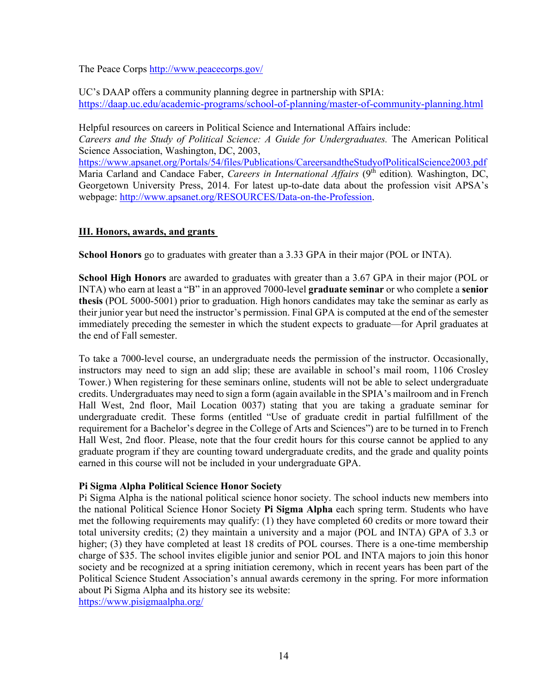The Peace Corps<http://www.peacecorps.gov/>

UC's DAAP offers a community planning degree in partnership with SPIA:

<https://daap.uc.edu/academic-programs/school-of-planning/master-of-community-planning.html>

Helpful resources on careers in Political Science and International Affairs include:

*Careers and the Study of Political Science: A Guide for Undergraduates.* The American Political Science Association, Washington, DC, 2003,

<https://www.apsanet.org/Portals/54/files/Publications/CareersandtheStudyofPoliticalScience2003.pdf> Maria Carland and Candace Faber, *Careers in International Affairs* (9<sup>th</sup> edition). Washington, DC, Georgetown University Press, 2014. For latest up-to-date data about the profession visit APSA's webpage: [http://www.apsanet.org/RESOURCES/Data-on-the-Profession.](http://www.apsanet.org/RESOURCES/Data-on-the-Profession)

# **III. Honors, awards, and grants**

**School Honors** go to graduates with greater than a 3.33 GPA in their major (POL or INTA).

**School High Honors** are awarded to graduates with greater than a 3.67 GPA in their major (POL or INTA) who earn at least a "B" in an approved 7000-level **graduate seminar** or who complete a **senior thesis** (POL 5000-5001) prior to graduation. High honors candidates may take the seminar as early as their junior year but need the instructor's permission. Final GPA is computed at the end of the semester immediately preceding the semester in which the student expects to graduate—for April graduates at the end of Fall semester.

To take a 7000-level course, an undergraduate needs the permission of the instructor. Occasionally, instructors may need to sign an add slip; these are available in school's mail room, 1106 Crosley Tower.) When registering for these seminars online, students will not be able to select undergraduate credits. Undergraduates may need to sign a form (again available in the SPIA's mailroom and in French Hall West, 2nd floor, Mail Location 0037) stating that you are taking a graduate seminar for undergraduate credit. These forms (entitled "Use of graduate credit in partial fulfillment of the requirement for a Bachelor's degree in the College of Arts and Sciences") are to be turned in to French Hall West, 2nd floor. Please, note that the four credit hours for this course cannot be applied to any graduate program if they are counting toward undergraduate credits, and the grade and quality points earned in this course will not be included in your undergraduate GPA.

# **Pi Sigma Alpha Political Science Honor Society**

Pi Sigma Alpha is the national political science honor society. The school inducts new members into the national Political Science Honor Society **Pi Sigma Alpha** each spring term. Students who have met the following requirements may qualify: (1) they have completed 60 credits or more toward their total university credits; (2) they maintain a university and a major (POL and INTA) GPA of 3.3 or higher; (3) they have completed at least 18 credits of POL courses. There is a one-time membership charge of \$35. The school invites eligible junior and senior POL and INTA majors to join this honor society and be recognized at a spring initiation ceremony, which in recent years has been part of the Political Science Student Association's annual awards ceremony in the spring. For more information about Pi Sigma Alpha and its history see its website:

<https://www.pisigmaalpha.org/>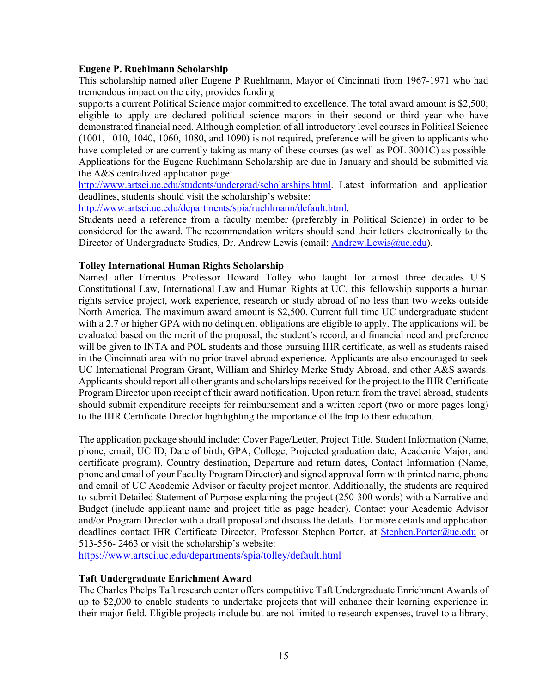## **Eugene P. Ruehlmann Scholarship**

This scholarship named after Eugene P Ruehlmann, Mayor of Cincinnati from 1967-1971 who had tremendous impact on the city, provides funding

supports a current Political Science major committed to excellence. The total award amount is \$2,500; eligible to apply are declared political science majors in their second or third year who have demonstrated financial need. Although completion of all introductory level courses in Political Science (1001, 1010, 1040, 1060, 1080, and 1090) is not required, preference will be given to applicants who have completed or are currently taking as many of these courses (as well as POL 3001C) as possible. Applications for the Eugene Ruehlmann Scholarship are due in January and should be submitted via the A&S centralized application page:

[http://www.artsci.uc.edu/students/undergrad/scholarships.html.](http://www.artsci.uc.edu/students/undergrad/scholarships.html) Latest information and application deadlines, students should visit the scholarship's website:

[http://www.artsci.uc.edu/departments/spia/ruehlmann/default.html.](http://www.artsci.uc.edu/departments/spia/ruehlmann/default.html)

Students need a reference from a faculty member (preferably in Political Science) in order to be considered for the award. The recommendation writers should send their letters electronically to the Director of Undergraduate Studies, Dr. Andrew Lewis (email: [Andrew.Lewis@uc.edu\)](mailto:Andrew.Lewis@uc.edu).

# **Tolley International Human Rights Scholarship**

Named after Emeritus Professor Howard Tolley who taught for almost three decades U.S. Constitutional Law, International Law and Human Rights at UC, this fellowship supports a human rights service project, work experience, research or study abroad of no less than two weeks outside North America. The maximum award amount is \$2,500. Current full time UC undergraduate student with a 2.7 or higher GPA with no delinquent obligations are eligible to apply. The applications will be evaluated based on the merit of the proposal, the student's record, and financial need and preference will be given to INTA and POL students and those pursuing IHR certificate, as well as students raised in the Cincinnati area with no prior travel abroad experience. Applicants are also encouraged to seek UC International Program Grant, William and Shirley Merke Study Abroad, and other A&S awards. Applicants should report all other grants and scholarships received for the project to the IHR Certificate Program Director upon receipt of their award notification. Upon return from the travel abroad, students should submit expenditure receipts for reimbursement and a written report (two or more pages long) to the IHR Certificate Director highlighting the importance of the trip to their education.

The application package should include: Cover Page/Letter, Project Title, Student Information (Name, phone, email, UC ID, Date of birth, GPA, College, Projected graduation date, Academic Major, and certificate program), Country destination, Departure and return dates, Contact Information (Name, phone and email of your Faculty Program Director) and signed approval form with printed name, phone and email of UC Academic Advisor or faculty project mentor. Additionally, the students are required to submit Detailed Statement of Purpose explaining the project (250-300 words) with a Narrative and Budget (include applicant name and project title as page header). Contact your Academic Advisor and/or Program Director with a draft proposal and discuss the details. For more details and application deadlines contact IHR Certificate Director, Professor Stephen Porter, at [Stephen.Porter@uc.edu](mailto:Stephen.Porter@uc.edu) or 513-556- 2463 or visit the scholarship's website:

<https://www.artsci.uc.edu/departments/spia/tolley/default.html>

# **Taft Undergraduate Enrichment Award**

The Charles Phelps Taft research center offers competitive Taft Undergraduate Enrichment Awards of up to \$2,000 to enable students to undertake projects that will enhance their learning experience in their major field. Eligible projects include but are not limited to research expenses, travel to a library,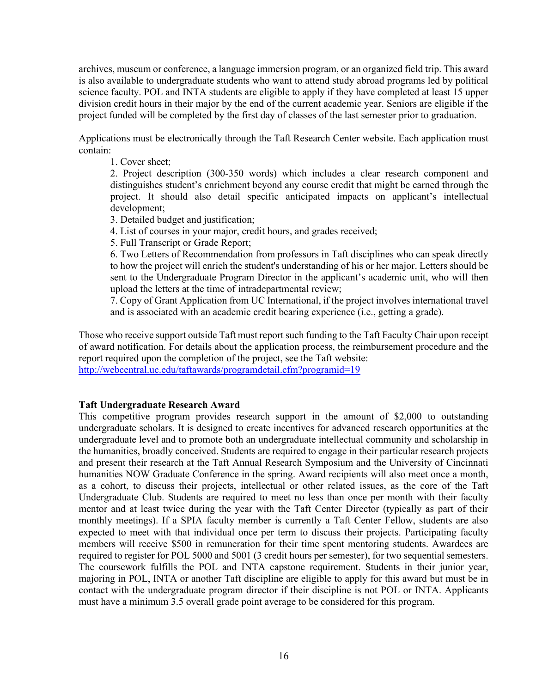archives, museum or conference, a language immersion program, or an organized field trip. This award is also available to undergraduate students who want to attend study abroad programs led by political science faculty. POL and INTA students are eligible to apply if they have completed at least 15 upper division credit hours in their major by the end of the current academic year. Seniors are eligible if the project funded will be completed by the first day of classes of the last semester prior to graduation.

Applications must be electronically through the Taft Research Center website. Each application must contain:

1. Cover sheet;

2. Project description (300-350 words) which includes a clear research component and distinguishes student's enrichment beyond any course credit that might be earned through the project. It should also detail specific anticipated impacts on applicant's intellectual development;

3. Detailed budget and justification;

4. List of courses in your major, credit hours, and grades received;

5. Full Transcript or Grade Report;

6. Two Letters of Recommendation from professors in Taft disciplines who can speak directly to how the project will enrich the student's understanding of his or her major. Letters should be sent to the Undergraduate Program Director in the applicant's academic unit, who will then upload the letters at the time of intradepartmental review;

7. Copy of Grant Application from UC International, if the project involves international travel and is associated with an academic credit bearing experience (i.e., getting a grade).

Those who receive support outside Taft must report such funding to the Taft Faculty Chair upon receipt of award notification. For details about the application process, the reimbursement procedure and the report required upon the completion of the project, see the Taft website:

<http://webcentral.uc.edu/taftawards/programdetail.cfm?programid=19>

# **Taft Undergraduate Research Award**

This competitive program provides research support in the amount of \$2,000 to outstanding undergraduate scholars. It is designed to create incentives for advanced research opportunities at the undergraduate level and to promote both an undergraduate intellectual community and scholarship in the humanities, broadly conceived. Students are required to engage in their particular research projects and present their research at the Taft Annual Research Symposium and the University of Cincinnati humanities NOW Graduate Conference in the spring. Award recipients will also meet once a month, as a cohort, to discuss their projects, intellectual or other related issues, as the core of the Taft Undergraduate Club. Students are required to meet no less than once per month with their faculty mentor and at least twice during the year with the Taft Center Director (typically as part of their monthly meetings). If a SPIA faculty member is currently a Taft Center Fellow, students are also expected to meet with that individual once per term to discuss their projects. Participating faculty members will receive \$500 in remuneration for their time spent mentoring students. Awardees are required to register for POL 5000 and 5001 (3 credit hours per semester), for two sequential semesters. The coursework fulfills the POL and INTA capstone requirement. Students in their junior year, majoring in POL, INTA or another Taft discipline are eligible to apply for this award but must be in contact with the undergraduate program director if their discipline is not POL or INTA. Applicants must have a minimum 3.5 overall grade point average to be considered for this program.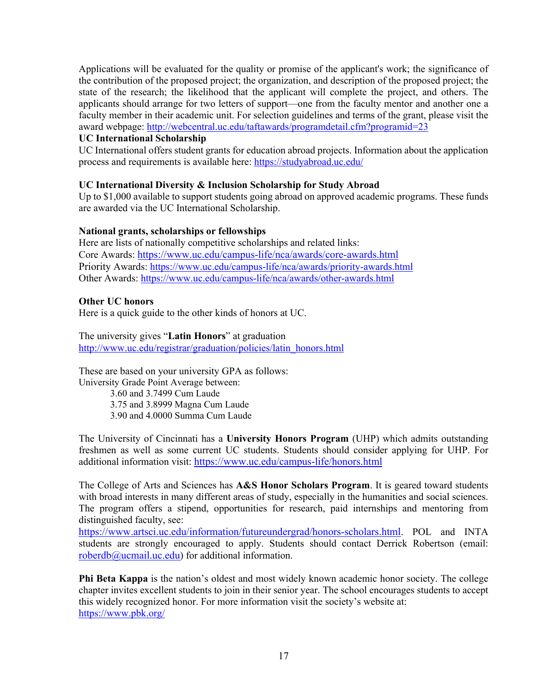Applications will be evaluated for the quality or promise of the applicant's work; the significance of the contribution of the proposed project; the organization, and description of the proposed project; the state of the research; the likelihood that the applicant will complete the project, and others. The applicants should arrange for two letters of support—one from the faculty mentor and another one a faculty member in their academic unit. For selection guidelines and terms of the grant, please visit the award webpage:<http://webcentral.uc.edu/taftawards/programdetail.cfm?programid=23>

## **UC International Scholarship**

UC International offers student grants for education abroad projects. Information about the application process and requirements is available here: <https://studyabroad.uc.edu/>

## **UC International Diversity & Inclusion Scholarship for Study Abroad**

Up to \$1,000 available to support students going abroad on approved academic programs. These funds are awarded via the UC International Scholarship.

#### **National grants, scholarships or fellowships**

Here are lists of nationally competitive scholarships and related links: Core Awards:<https://www.uc.edu/campus-life/nca/awards/core-awards.html> Priority Awards:<https://www.uc.edu/campus-life/nca/awards/priority-awards.html> Other Awards: <https://www.uc.edu/campus-life/nca/awards/other-awards.html>

#### **Other UC honors**

Here is a quick guide to the other kinds of honors at UC.

The university gives "**Latin Honors**" at graduation [http://www.uc.edu/registrar/graduation/policies/latin\\_honors.html](http://www.uc.edu/registrar/graduation/policies/latin_honors.html)

These are based on your university GPA as follows: University Grade Point Average between: 3.60 and 3.7499 Cum Laude 3.75 and 3.8999 Magna Cum Laude 3.90 and 4.0000 Summa Cum Laude

The University of Cincinnati has a **University Honors Program** (UHP) which admits outstanding freshmen as well as some current UC students. Students should consider applying for UHP. For additional information visit:<https://www.uc.edu/campus-life/honors.html>

The College of Arts and Sciences has **A&S Honor Scholars Program**. It is geared toward students with broad interests in many different areas of study, especially in the humanities and social sciences. The program offers a stipend, opportunities for research, paid internships and mentoring from distinguished faculty, see:

[https://www.artsci.uc.edu/information/futureundergrad/honors-scholars.html.](https://www.artsci.uc.edu/information/futureundergrad/honors-scholars.html) POL and INTA students are strongly encouraged to apply. Students should contact Derrick Robertson (email: roberdb $@$ ucmail.uc.edu) for additional information.

**Phi Beta Kappa** is the nation's oldest and most widely known academic honor society. The college chapter invites excellent students to join in their senior year. The school encourages students to accept this widely recognized honor. For more information visit the society's website at: [https://www.pbk.org/](https://www.pbk.org/web)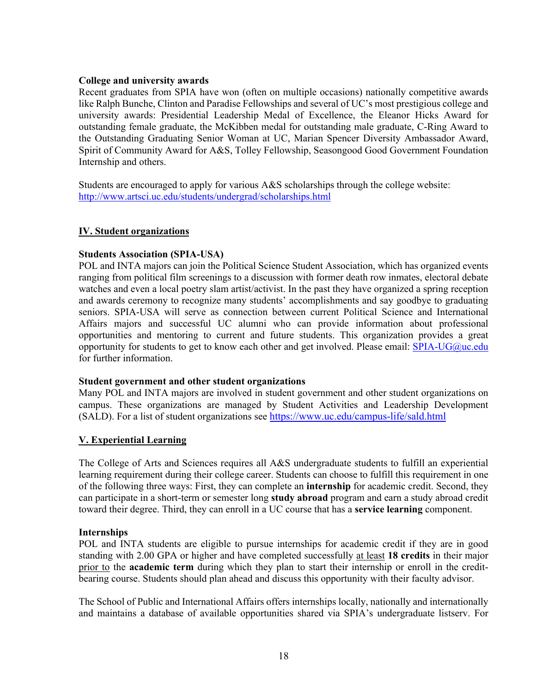## **College and university awards**

Recent graduates from SPIA have won (often on multiple occasions) nationally competitive awards like Ralph Bunche, Clinton and Paradise Fellowships and several of UC's most prestigious college and university awards: Presidential Leadership Medal of Excellence, the Eleanor Hicks Award for outstanding female graduate, the McKibben medal for outstanding male graduate, C-Ring Award to the Outstanding Graduating Senior Woman at UC, Marian Spencer Diversity Ambassador Award, Spirit of Community Award for A&S, Tolley Fellowship, Seasongood Good Government Foundation Internship and others.

Students are encouraged to apply for various A&S scholarships through the college website: <http://www.artsci.uc.edu/students/undergrad/scholarships.html>

# **IV. Student organizations**

# **Students Association (SPIA-USA)**

POL and INTA majors can join the Political Science Student Association, which has organized events ranging from political film screenings to a discussion with former death row inmates, electoral debate watches and even a local poetry slam artist/activist. In the past they have organized a spring reception and awards ceremony to recognize many students' accomplishments and say goodbye to graduating seniors. SPIA-USA will serve as connection between current Political Science and International Affairs majors and successful UC alumni who can provide information about professional opportunities and mentoring to current and future students. This organization provides a great opportunity for students to get to know each other and get involved. Please email:  $SPIA-UG@uc.edu$ for further information.

## **Student government and other student organizations**

Many POL and INTA majors are involved in student government and other student organizations on campus. These organizations are managed by Student Activities and Leadership Development (SALD). For a list of student organizations see<https://www.uc.edu/campus-life/sald.html>

# **V. Experiential Learning**

The College of Arts and Sciences requires all A&S undergraduate students to fulfill an experiential learning requirement during their college career. Students can choose to fulfill this requirement in one of the following three ways: First, they can complete an **internship** for academic credit. Second, they can participate in a short-term or semester long **study abroad** program and earn a study abroad credit toward their degree. Third, they can enroll in a UC course that has a **service learning** component.

## **Internships**

POL and INTA students are eligible to pursue internships for academic credit if they are in good standing with 2.00 GPA or higher and have completed successfully at least **18 credits** in their major prior to the **academic term** during which they plan to start their internship or enroll in the creditbearing course. Students should plan ahead and discuss this opportunity with their faculty advisor.

The School of Public and International Affairs offers internships locally, nationally and internationally and maintains a database of available opportunities shared via SPIA's undergraduate listserv. For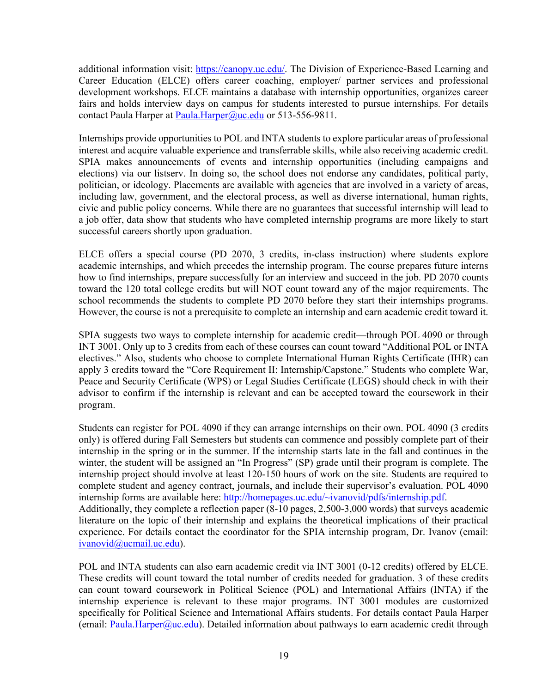additional information visit: [https://canopy.uc.edu/.](https://canopy.uc.edu/) The Division of Experience-Based Learning and Career Education (ELCE) offers career coaching, employer/ partner services and professional development workshops. ELCE maintains a database with internship opportunities, organizes career fairs and holds interview days on campus for students interested to pursue internships. For details contact Paula Harper at Paula.Harper@uc.edu or 513-556-9811.

Internships provide opportunities to POL and INTA students to explore particular areas of professional interest and acquire valuable experience and transferrable skills, while also receiving academic credit. SPIA makes announcements of events and internship opportunities (including campaigns and elections) via our listserv. In doing so, the school does not endorse any candidates, political party, politician, or ideology. Placements are available with agencies that are involved in a variety of areas, including law, government, and the electoral process, as well as diverse international, human rights, civic and public policy concerns. While there are no guarantees that successful internship will lead to a job offer, data show that students who have completed internship programs are more likely to start successful careers shortly upon graduation.

ELCE offers a special course (PD 2070, 3 credits, in-class instruction) where students explore academic internships, and which precedes the internship program. The course prepares future interns how to find internships, prepare successfully for an interview and succeed in the job. PD 2070 counts toward the 120 total college credits but will NOT count toward any of the major requirements. The school recommends the students to complete PD 2070 before they start their internships programs. However, the course is not a prerequisite to complete an internship and earn academic credit toward it.

SPIA suggests two ways to complete internship for academic credit—through POL 4090 or through INT 3001. Only up to 3 credits from each of these courses can count toward "Additional POL or INTA electives." Also, students who choose to complete International Human Rights Certificate (IHR) can apply 3 credits toward the "Core Requirement II: Internship/Capstone." Students who complete War, Peace and Security Certificate (WPS) or Legal Studies Certificate (LEGS) should check in with their advisor to confirm if the internship is relevant and can be accepted toward the coursework in their program.

Students can register for POL 4090 if they can arrange internships on their own. POL 4090 (3 credits only) is offered during Fall Semesters but students can commence and possibly complete part of their internship in the spring or in the summer. If the internship starts late in the fall and continues in the winter, the student will be assigned an "In Progress" (SP) grade until their program is complete. The internship project should involve at least 120-150 hours of work on the site. Students are required to complete student and agency contract, journals, and include their supervisor's evaluation. POL 4090 internship forms are available here: [http://homepages.uc.edu/~ivanovid/pdfs/internship.pdf.](http://homepages.uc.edu/%7Eivanovid/pdfs/internship.pdf)

Additionally, they complete a reflection paper (8-10 pages, 2,500-3,000 words) that surveys academic literature on the topic of their internship and explains the theoretical implications of their practical experience. For details contact the coordinator for the SPIA internship program, Dr. Ivanov (email: [ivanovid@ucmail.uc.edu\)](mailto:ivanovid@ucmail.uc.edu).

POL and INTA students can also earn academic credit via INT 3001 (0-12 credits) offered by ELCE. These credits will count toward the total number of credits needed for graduation. 3 of these credits can count toward coursework in Political Science (POL) and International Affairs (INTA) if the internship experience is relevant to these major programs. INT 3001 modules are customized specifically for Political Science and International Affairs students. For details contact Paula Harper (email: [Paula.Harper@uc.edu\)](mailto:Paula.Harper@uc.edu). Detailed information about pathways to earn academic credit through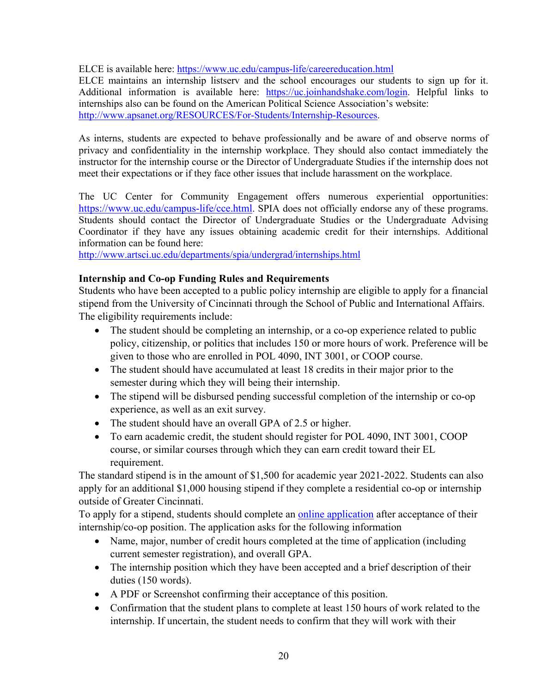ELCE is available here: <https://www.uc.edu/campus-life/careereducation.html>

ELCE maintains an internship listserv and the school encourages our students to sign up for it. Additional information is available here: [https://uc.joinhandshake.com/login.](https://uc.joinhandshake.com/login) Helpful links to internships also can be found on the American Political Science Association's website: [http://www.apsanet.org/RESOURCES/For-Students/Internship-Resources.](http://www.apsanet.org/RESOURCES/For-Students/Internship-Resources)

As interns, students are expected to behave professionally and be aware of and observe norms of privacy and confidentiality in the internship workplace. They should also contact immediately the instructor for the internship course or the Director of Undergraduate Studies if the internship does not meet their expectations or if they face other issues that include harassment on the workplace.

The UC Center for Community Engagement offers numerous experiential opportunities: [https://www.uc.edu/campus-life/cce.html.](https://www.uc.edu/campus-life/cce.html) SPIA does not officially endorse any of these programs. Students should contact the Director of Undergraduate Studies or the Undergraduate Advising Coordinator if they have any issues obtaining academic credit for their internships. Additional information can be found here:

<http://www.artsci.uc.edu/departments/spia/undergrad/internships.html>

# **Internship and Co-op Funding Rules and Requirements**

Students who have been accepted to a public policy internship are eligible to apply for a financial stipend from the University of Cincinnati through the School of Public and International Affairs. The eligibility requirements include:

- The student should be completing an internship, or a co-op experience related to public policy, citizenship, or politics that includes 150 or more hours of work. Preference will be given to those who are enrolled in POL 4090, INT 3001, or COOP course.
- The student should have accumulated at least 18 credits in their major prior to the semester during which they will being their internship.
- The stipend will be disbursed pending successful completion of the internship or co-op experience, as well as an exit survey.
- The student should have an overall GPA of 2.5 or higher.
- To earn academic credit, the student should register for POL 4090, INT 3001, COOP course, or similar courses through which they can earn credit toward their EL requirement.

The standard stipend is in the amount of \$1,500 for academic year 2021-2022. Students can also apply for an additional \$1,000 housing stipend if they complete a residential co-op or internship outside of Greater Cincinnati.

To apply for a stipend, students should complete an [online application](https://docs.google.com/forms/d/e/1FAIpQLScTWYZl-eDMOvDWlptAygOttNCsrJS9434v7KcT0QIHygsKEg/viewform?usp=sf_link) after acceptance of their internship/co-op position. The application asks for the following information

- Name, major, number of credit hours completed at the time of application (including current semester registration), and overall GPA.
- The internship position which they have been accepted and a brief description of their duties (150 words).
- A PDF or Screenshot confirming their acceptance of this position.
- Confirmation that the student plans to complete at least 150 hours of work related to the internship. If uncertain, the student needs to confirm that they will work with their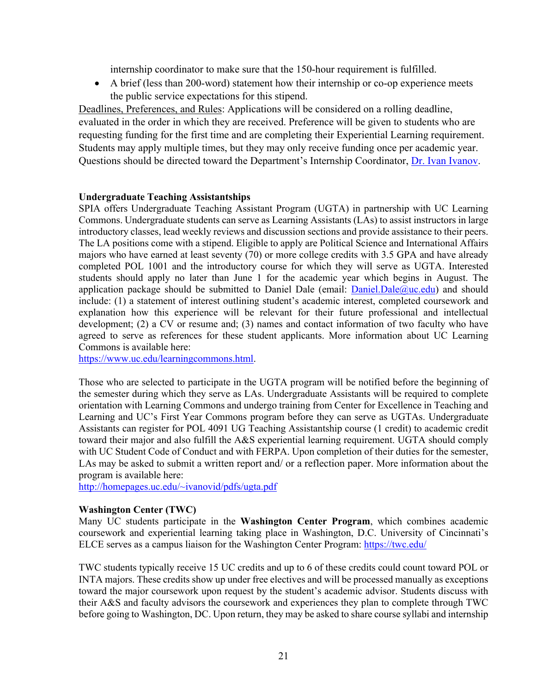internship coordinator to make sure that the 150-hour requirement is fulfilled.

• A brief (less than 200-word) statement how their internship or co-op experience meets the public service expectations for this stipend.

Deadlines, Preferences, and Rules: Applications will be considered on a rolling deadline, evaluated in the order in which they are received. Preference will be given to students who are requesting funding for the first time and are completing their Experiential Learning requirement. Students may apply multiple times, but they may only receive funding once per academic year. Questions should be directed toward the Department's Internship Coordinator, [Dr. Ivan Ivanov.](mailto:ivanoid@ucmail.uc.edu)

# **Undergraduate Teaching Assistantships**

SPIA offers Undergraduate Teaching Assistant Program (UGTA) in partnership with UC Learning Commons. Undergraduate students can serve as Learning Assistants (LAs) to assist instructors in large introductory classes, lead weekly reviews and discussion sections and provide assistance to their peers. The LA positions come with a stipend. Eligible to apply are Political Science and International Affairs majors who have earned at least seventy (70) or more college credits with 3.5 GPA and have already completed POL 1001 and the introductory course for which they will serve as UGTA. Interested students should apply no later than June 1 for the academic year which begins in August. The application package should be submitted to Daniel Dale (email:  $\text{Daniel}(\Omega)$ uc.edu) and should include: (1) a statement of interest outlining student's academic interest, completed coursework and explanation how this experience will be relevant for their future professional and intellectual development; (2) a CV or resume and; (3) names and contact information of two faculty who have agreed to serve as references for these student applicants. More information about UC Learning Commons is available here:

[https://www.uc.edu/learningcommons.html.](https://www.uc.edu/learningcommons.html)

Those who are selected to participate in the UGTA program will be notified before the beginning of the semester during which they serve as LAs. Undergraduate Assistants will be required to complete orientation with Learning Commons and undergo training from Center for Excellence in Teaching and Learning and UC's First Year Commons program before they can serve as UGTAs. Undergraduate Assistants can register for POL 4091 UG Teaching Assistantship course (1 credit) to academic credit toward their major and also fulfill the A&S experiential learning requirement. UGTA should comply with UC Student Code of Conduct and with FERPA. Upon completion of their duties for the semester, LAs may be asked to submit a written report and/ or a reflection paper. More information about the program is available here:

[http://homepages.uc.edu/~ivanovid/pdfs/ugta.pdf](http://homepages.uc.edu/%7Eivanovid/pdfs/ugta.pdf)

## **Washington Center (TWC)**

Many UC students participate in the **Washington Center Program**, which combines academic coursework and experiential learning taking place in Washington, D.C. University of Cincinnati's ELCE serves as a campus liaison for the Washington Center Program: <https://twc.edu/>

TWC students typically receive 15 UC credits and up to 6 of these credits could count toward POL or INTA majors. These credits show up under free electives and will be processed manually as exceptions toward the major coursework upon request by the student's academic advisor. Students discuss with their A&S and faculty advisors the coursework and experiences they plan to complete through TWC before going to Washington, DC. Upon return, they may be asked to share course syllabi and internship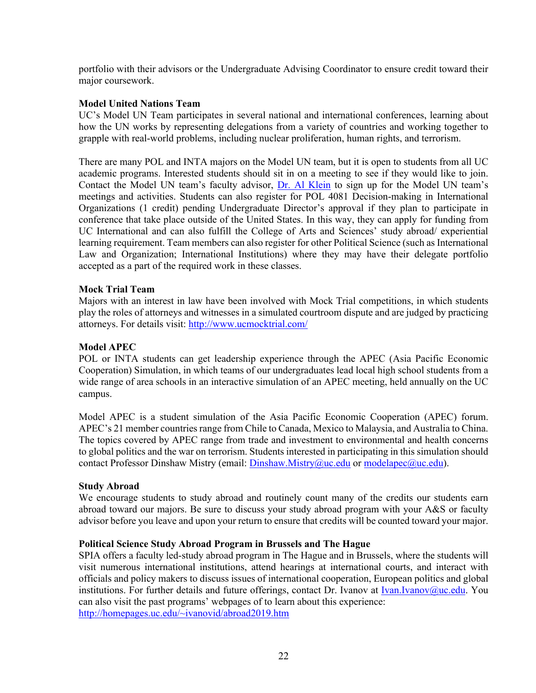portfolio with their advisors or the Undergraduate Advising Coordinator to ensure credit toward their major coursework.

# **Model United Nations Team**

UC's Model UN Team participates in several national and international conferences, learning about how the UN works by representing delegations from a variety of countries and working together to grapple with real-world problems, including nuclear proliferation, human rights, and terrorism.

There are many POL and INTA majors on the Model UN team, but it is open to students from all UC academic programs. Interested students should sit in on a meeting to see if they would like to join. Contact the Model UN team's faculty advisor, [Dr. Al Klein](mailto:kleinab@ucmail.uc.edu) to sign up for the Model UN team's meetings and activities. Students can also register for POL 4081 Decision-making in International Organizations (1 credit) pending Undergraduate Director's approval if they plan to participate in conference that take place outside of the United States. In this way, they can apply for funding from UC International and can also fulfill the College of Arts and Sciences' study abroad/ experiential learning requirement. Team members can also register for other Political Science (such as International Law and Organization; International Institutions) where they may have their delegate portfolio accepted as a part of the required work in these classes.

# **Mock Trial Team**

Majors with an interest in law have been involved with Mock Trial competitions, in which students play the roles of attorneys and witnesses in a simulated courtroom dispute and are judged by practicing attorneys. For details visit:<http://www.ucmocktrial.com/>

# **Model APEC**

POL or INTA students can get leadership experience through the APEC (Asia Pacific Economic Cooperation) Simulation, in which teams of our undergraduates lead local high school students from a wide range of area schools in an interactive simulation of an APEC meeting, held annually on the UC campus.

Model APEC is a student simulation of the Asia Pacific Economic Cooperation (APEC) forum. APEC's 21 member countries range from Chile to Canada, Mexico to Malaysia, and Australia to China. The topics covered by APEC range from trade and investment to environmental and health concerns to global politics and the war on terrorism. Students interested in participating in this simulation should contact Professor Dinshaw Mistry (email: [Dinshaw.Mistry@uc.edu](mailto:Dinshaw.Mistry@uc.edu) or [modelapec@uc.edu\)](mailto:modelapec@uc.edu).

## **Study Abroad**

We encourage students to study abroad and routinely count many of the credits our students earn abroad toward our majors. Be sure to discuss your study abroad program with your A&S or faculty advisor before you leave and upon your return to ensure that credits will be counted toward your major.

## **Political Science Study Abroad Program in Brussels and The Hague**

SPIA offers a faculty led-study abroad program in The Hague and in Brussels, where the students will visit numerous international institutions, attend hearings at international courts, and interact with officials and policy makers to discuss issues of international cooperation, European politics and global institutions. For further details and future offerings, contact Dr. Ivanov at [Ivan.Ivanov@uc.edu.](mailto:Ivan.Ivanov@uc.edu) You can also visit the past programs' webpages of to learn about this experience: [http://homepages.uc.edu/~ivanovid/abroad2019.htm](http://homepages.uc.edu/%7Eivanovid/abroad2019.htm)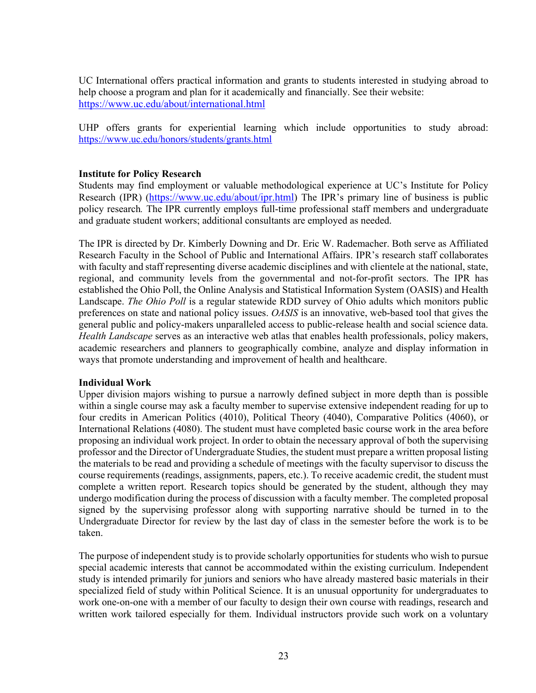UC International offers practical information and grants to students interested in studying abroad to help choose a program and plan for it academically and financially. See their website: <https://www.uc.edu/about/international.html>

UHP offers grants for experiential learning which include opportunities to study abroad: <https://www.uc.edu/honors/students/grants.html>

# **Institute for Policy Research**

Students may find employment or valuable methodological experience at UC's Institute for Policy Research (IPR) [\(https://www.uc.edu/about/ipr.html\)](https://www.uc.edu/about/ipr.html) The IPR's primary line of business is public policy research*.* The IPR currently employs full-time professional staff members and undergraduate and graduate student workers; additional consultants are employed as needed.

The IPR is directed by Dr. Kimberly Downing and Dr. Eric W. Rademacher. Both serve as Affiliated Research Faculty in the School of Public and International Affairs. IPR's research staff collaborates with faculty and staff representing diverse academic disciplines and with clientele at the national, state, regional, and community levels from the governmental and not-for-profit sectors. The IPR has established the Ohio Poll, the Online Analysis and Statistical Information System (OASIS) and Health Landscape. *The Ohio Poll* is a regular statewide RDD survey of Ohio adults which monitors public preferences on state and national policy issues. *OASIS* is an innovative, web-based tool that gives the general public and policy-makers unparalleled access to public-release health and social science data. *Health Landscape* serves as an interactive web atlas that enables health professionals, policy makers, academic researchers and planners to geographically combine, analyze and display information in ways that promote understanding and improvement of health and healthcare.

# **Individual Work**

Upper division majors wishing to pursue a narrowly defined subject in more depth than is possible within a single course may ask a faculty member to supervise extensive independent reading for up to four credits in American Politics (4010), Political Theory (4040), Comparative Politics (4060), or International Relations (4080). The student must have completed basic course work in the area before proposing an individual work project. In order to obtain the necessary approval of both the supervising professor and the Director of Undergraduate Studies, the student must prepare a written proposal listing the materials to be read and providing a schedule of meetings with the faculty supervisor to discuss the course requirements (readings, assignments, papers, etc.). To receive academic credit, the student must complete a written report. Research topics should be generated by the student, although they may undergo modification during the process of discussion with a faculty member. The completed proposal signed by the supervising professor along with supporting narrative should be turned in to the Undergraduate Director for review by the last day of class in the semester before the work is to be taken.

The purpose of independent study is to provide scholarly opportunities for students who wish to pursue special academic interests that cannot be accommodated within the existing curriculum. Independent study is intended primarily for juniors and seniors who have already mastered basic materials in their specialized field of study within Political Science. It is an unusual opportunity for undergraduates to work one-on-one with a member of our faculty to design their own course with readings, research and written work tailored especially for them. Individual instructors provide such work on a voluntary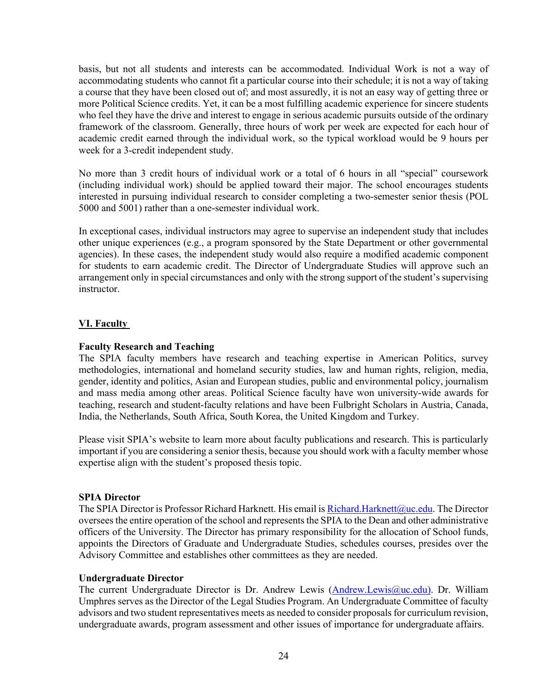basis, but not all students and interests can be accommodated. Individual Work is not a way of accommodating students who cannot fit a particular course into their schedule; it is not a way of taking a course that they have been closed out of; and most assuredly, it is not an easy way of getting three or more Political Science credits. Yet, it can be a most fulfilling academic experience for sincere students who feel they have the drive and interest to engage in serious academic pursuits outside of the ordinary framework of the classroom. Generally, three hours of work per week are expected for each hour of academic credit earned through the individual work, so the typical workload would be 9 hours per week for a 3-credit independent study.

No more than 3 credit hours of individual work or a total of 6 hours in all "special" coursework (including individual work) should be applied toward their major. The school encourages students interested in pursuing individual research to consider completing a two-semester senior thesis (POL 5000 and 5001) rather than a one-semester individual work.

In exceptional cases, individual instructors may agree to supervise an independent study that includes other unique experiences (e.g., a program sponsored by the State Department or other governmental agencies). In these cases, the independent study would also require a modified academic component for students to earn academic credit. The Director of Undergraduate Studies will approve such an arrangement only in special circumstances and only with the strong support of the student's supervising instructor.

# **VI. Faculty**

## **Faculty Research and Teaching**

The SPIA faculty members have research and teaching expertise in American Politics, survey methodologies, international and homeland security studies, law and human rights, religion, media, gender, identity and politics, Asian and European studies, public and environmental policy, journalism and mass media among other areas. Political Science faculty have won university-wide awards for teaching, research and student-faculty relations and have been Fulbright Scholars in Austria, Canada, India, the Netherlands, South Africa, South Korea, the United Kingdom and Turkey.

Please visit SPIA's website to learn more about faculty publications and research. This is particularly important if you are considering a senior thesis, because you should work with a faculty member whose expertise align with the student's proposed thesis topic.

## **SPIA Director**

The SPIA Director is Professor Richard Harknett. His email is [Richard.Harknett@uc.edu.](mailto:Richard.Harknett@uc.edu) The Director oversees the entire operation of the school and represents the SPIA to the Dean and other administrative officers of the University. The Director has primary responsibility for the allocation of School funds, appoints the Directors of Graduate and Undergraduate Studies, schedules courses, presides over the Advisory Committee and establishes other committees as they are needed.

## **Undergraduate Director**

The current Undergraduate Director is Dr. Andrew Lewis [\(Andrew.Lewis@uc.edu\)](mailto:Andrew.Lewis@uc.edu). Dr. William Umphres serves as the Director of the Legal Studies Program. An Undergraduate Committee of faculty advisors and two student representatives meets as needed to consider proposals for curriculum revision, undergraduate awards, program assessment and other issues of importance for undergraduate affairs.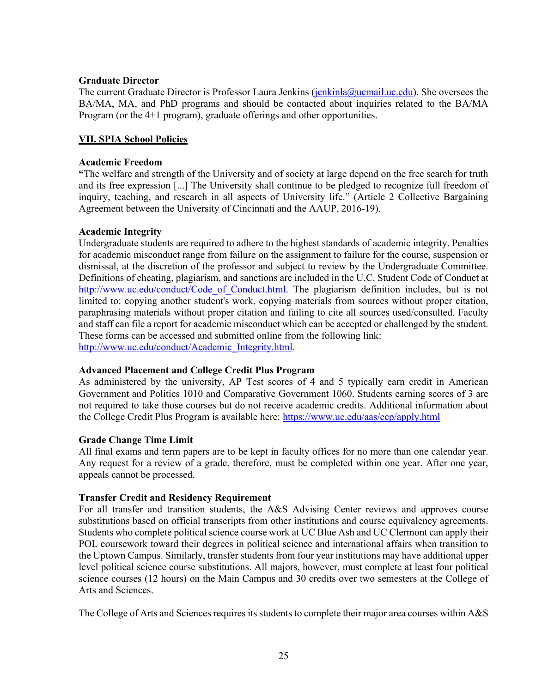## **Graduate Director**

The current Graduate Director is Professor Laura Jenkins [\(jenkinla@ucmail.uc.edu\)](mailto:jenkinla@ucmail.uc.edu). She oversees the BA/MA, MA, and PhD programs and should be contacted about inquiries related to the BA/MA Program (or the 4+1 program), graduate offerings and other opportunities.

# **VII. SPIA School Policies**

# **Academic Freedom**

**"**The welfare and strength of the University and of society at large depend on the free search for truth and its free expression [...] The University shall continue to be pledged to recognize full freedom of inquiry, teaching, and research in all aspects of University life." (Article 2 Collective Bargaining Agreement between the University of Cincinnati and the AAUP, 2016-19).

# **Academic Integrity**

Undergraduate students are required to adhere to the highest standards of academic integrity. Penalties for academic misconduct range from failure on the assignment to failure for the course, suspension or dismissal, at the discretion of the professor and subject to review by the Undergraduate Committee. Definitions of cheating, plagiarism, and sanctions are included in the U.C. Student Code of Conduct at http://www.uc.edu/conduct/Code of Conduct.html. The plagiarism definition includes, but is not limited to: copying another student's work, copying materials from sources without proper citation, paraphrasing materials without proper citation and failing to cite all sources used/consulted. Faculty and staff can file a report for academic misconduct which can be accepted or challenged by the student. These forms can be accessed and submitted online from the following link: [http://www.uc.edu/conduct/Academic\\_Integrity.html.](http://www.uc.edu/conduct/Academic_Integrity.html)

# **Advanced Placement and College Credit Plus Program**

As administered by the university, AP Test scores of 4 and 5 typically earn credit in American Government and Politics 1010 and Comparative Government 1060. Students earning scores of 3 are not required to take those courses but do not receive academic credits. Additional information about the College Credit Plus Program is available here:<https://www.uc.edu/aas/ccp/apply.html>

# **Grade Change Time Limit**

All final exams and term papers are to be kept in faculty offices for no more than one calendar year. Any request for a review of a grade, therefore, must be completed within one year. After one year, appeals cannot be processed.

## **Transfer Credit and Residency Requirement**

For all transfer and transition students, the A&S Advising Center reviews and approves course substitutions based on official transcripts from other institutions and course equivalency agreements. Students who complete political science course work at UC Blue Ash and UC Clermont can apply their POL coursework toward their degrees in political science and international affairs when transition to the Uptown Campus. Similarly, transfer students from four year institutions may have additional upper level political science course substitutions. All majors, however, must complete at least four political science courses (12 hours) on the Main Campus and 30 credits over two semesters at the College of Arts and Sciences.

The College of Arts and Sciences requires its students to complete their major area courses within A&S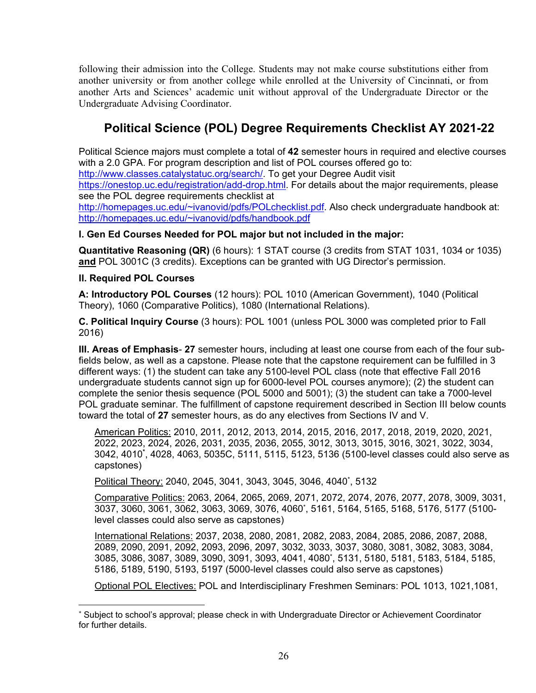following their admission into the College. Students may not make course substitutions either from another university or from another college while enrolled at the University of Cincinnati, or from another Arts and Sciences' academic unit without approval of the Undergraduate Director or the Undergraduate Advising Coordinator.

# **Political Science (POL) Degree Requirements Checklist AY 2021-22**

Political Science majors must complete a total of **42** semester hours in required and elective courses with a 2.0 GPA. For program description and list of POL courses offered go to:

[http://www.classes.catalystatuc.org/search/.](http://www.classes.catalystatuc.org/search/) To get your Degree Audit visit

[https://onestop.uc.edu/registration/add-drop.html.](https://onestop.uc.edu/registration/add-drop.html) For details about the major requirements, please see the POL degree requirements checklist at

[http://homepages.uc.edu/~ivanovid/pdfs/POLchecklist.pdf.](http://homepages.uc.edu/%7Eivanovid/pdfs/POLchecklist.pdf) Also check undergraduate handbook at: [http://homepages.uc.edu/~ivanovid/pdfs/handbook.pdf](http://homepages.uc.edu/%7Eivanovid/pdfs/handbook.pdf)

# **I. Gen Ed Courses Needed for POL major but not included in the major:**

**Quantitative Reasoning (QR)** (6 hours): 1 STAT course (3 credits from STAT 1031, 1034 or 1035) **and** POL 3001C (3 credits). Exceptions can be granted with UG Director's permission.

# **II. Required POL Courses**

**A: Introductory POL Courses** (12 hours): POL 1010 (American Government), 1040 (Political Theory), 1060 (Comparative Politics), 1080 (International Relations).

**C. Political Inquiry Course** (3 hours): POL 1001 (unless POL 3000 was completed prior to Fall 2016)

**III. Areas of Emphasis**- **27** semester hours, including at least one course from each of the four subfields below, as well as a capstone. Please note that the capstone requirement can be fulfilled in 3 different ways: (1) the student can take any 5100-level POL class (note that effective Fall 2016 undergraduate students cannot sign up for 6000-level POL courses anymore); (2) the student can complete the senior thesis sequence (POL 5000 and 5001); (3) the student can take a 7000-level POL graduate seminar. The fulfillment of capstone requirement described in Section III below counts toward the total of **27** semester hours, as do any electives from Sections IV and V.

American Politics: 2010, 2011, 2012, 2013, 2014, 2015, 2016, 2017, 2018, 2019, 2020, 2021, 2022, 2023, 2024, 2026, 2031, 2035, 2036, 2055, 3012, 3013, 3015, 3016, 3021, 3022, 3034, 3042, 4010**\*** , 4028, 4063, 5035C, 5111, 5115, 5123, 5136 (5100-level classes could also serve as capstones)

Political Theory: 2040, 2045, 3041, 3043, 3045, 3046, 4040\* , 5132

Comparative Politics: 2063, 2064, 2065, 2069, 2071, 2072, 2074, 2076, 2077, 2078, 3009, 3031, 3037, 3060, 3061, 3062, 3063, 3069, 3076, 4060\* , 5161, 5164, 5165, 5168, 5176, 5177 (5100 level classes could also serve as capstones)

International Relations: 2037, 2038, 2080, 2081, 2082, 2083, 2084, 2085, 2086, 2087, 2088, 2089, 2090, 2091, 2092, 2093, 2096, 2097, 3032, 3033, 3037, 3080, 3081, 3082, 3083, 3084, 3085, 3086, 3087, 3089, 3090, 3091, 3093, 4041, 4080\* , 5131, 5180, 5181, 5183, 5184, 5185, 5186, 5189, 5190, 5193, 5197 (5000-level classes could also serve as capstones)

Optional POL Electives: POL and Interdisciplinary Freshmen Seminars: POL 1013, 1021,1081,

Subject to school's approval; please check in with Undergraduate Director or Achievement Coordinator for further details.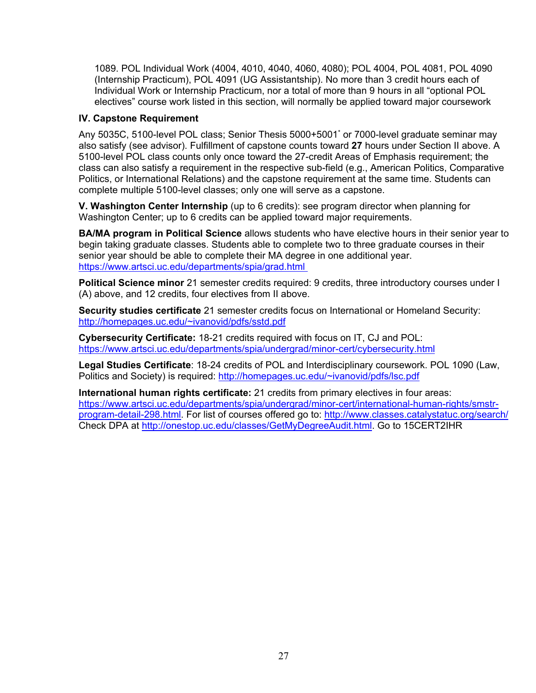1089. POL Individual Work (4004, 4010, 4040, 4060, 4080); POL 4004, POL 4081, POL 4090 (Internship Practicum), POL 4091 (UG Assistantship). No more than 3 credit hours each of Individual Work or Internship Practicum, nor a total of more than 9 hours in all "optional POL electives" course work listed in this section, will normally be applied toward major coursework

# **IV. Capstone Requirement**

Any 5035C, 5100-level POL class; Senior Thesis 5000+5001\* or 7000-level graduate seminar may also satisfy (see advisor). Fulfillment of capstone counts toward **27** hours under Section II above. A 5100-level POL class counts only once toward the 27-credit Areas of Emphasis requirement; the class can also satisfy a requirement in the respective sub-field (e.g., American Politics, Comparative Politics, or International Relations) and the capstone requirement at the same time. Students can complete multiple 5100-level classes; only one will serve as a capstone.

**V. Washington Center Internship** (up to 6 credits): see program director when planning for Washington Center; up to 6 credits can be applied toward major requirements.

**BA/MA program in Political Science** allows students who have elective hours in their senior year to begin taking graduate classes. Students able to complete two to three graduate courses in their senior year should be able to complete their MA degree in one additional year. <https://www.artsci.uc.edu/departments/spia/grad.html>

**Political Science minor** 21 semester credits required: 9 credits, three introductory courses under I (A) above, and 12 credits, four electives from II above.

**Security studies certificate** 21 semester credits focus on International or Homeland Security: [http://homepages.uc.edu/~ivanovid/pdfs/sstd.pdf](http://homepages.uc.edu/%7Eivanovid/pdfs/sstd.pdf)

**Cybersecurity Certificate:** 18-21 credits required with focus on IT, CJ and POL: <https://www.artsci.uc.edu/departments/spia/undergrad/minor-cert/cybersecurity.html>

**Legal Studies Certificate**: 18-24 credits of POL and Interdisciplinary coursework. POL 1090 (Law, Politics and Society) is required: [http://homepages.uc.edu/~ivanovid/pdfs/lsc.pdf](http://homepages.uc.edu/%7Eivanovid/pdfs/lsc.pdf)

**International human rights certificate:** 21 credits from primary electives in four areas: [https://www.artsci.uc.edu/departments/spia/undergrad/minor-cert/international-human-rights/smstr](https://www.artsci.uc.edu/departments/spia/undergrad/minor-cert/international-human-rights/smstr-program-detail-298.html)[program-detail-298.html.](https://www.artsci.uc.edu/departments/spia/undergrad/minor-cert/international-human-rights/smstr-program-detail-298.html) For list of courses offered go to:<http://www.classes.catalystatuc.org/search/> Check DPA at [http://onestop.uc.edu/classes/GetMyDegreeAudit.html.](http://onestop.uc.edu/classes/GetMyDegreeAudit.html) Go to 15CERT2IHR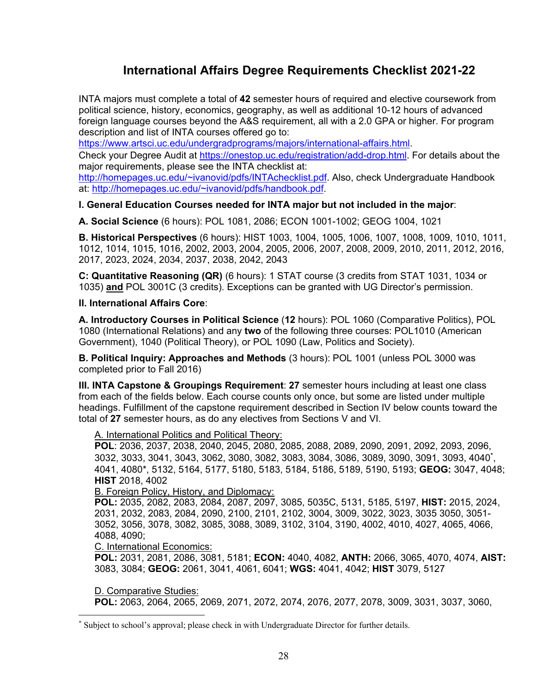# **International Affairs Degree Requirements Checklist 2021-22**

INTA majors must complete a total of **42** semester hours of required and elective coursework from political science, history, economics, geography, as well as additional 10-12 hours of advanced foreign language courses beyond the A&S requirement, all with a 2.0 GPA or higher. For program description and list of INTA courses offered go to:

[https://www.artsci.uc.edu/undergradprograms/majors/international-affairs.html.](https://www.artsci.uc.edu/undergradprograms/majors/international-affairs.html)

Check your Degree Audit at<https://onestop.uc.edu/registration/add-drop.html>. For details about the major requirements, please see the INTA checklist at:

[http://homepages.uc.edu/~ivanovid/pdfs/INTAchecklist.pdf.](http://homepages.uc.edu/%7Eivanovid/pdfs/INTAchecklist.pdf) Also, check Undergraduate Handbook at: [http://homepages.uc.edu/~ivanovid/pdfs/handbook.pdf.](http://homepages.uc.edu/%7Eivanovid/pdfs/handbook.pdf)

# **I. General Education Courses needed for INTA major but not included in the major**:

**A. Social Science** (6 hours): POL 1081, 2086; ECON 1001-1002; GEOG 1004, 1021

**B. Historical Perspectives** (6 hours): HIST 1003, 1004, 1005, 1006, 1007, 1008, 1009, 1010, 1011, 1012, 1014, 1015, 1016, 2002, 2003, 2004, 2005, 2006, 2007, 2008, 2009, 2010, 2011, 2012, 2016, 2017, 2023, 2024, 2034, 2037, 2038, 2042, 2043

**C: Quantitative Reasoning (QR)** (6 hours): 1 STAT course (3 credits from STAT 1031, 1034 or 1035) **and** POL 3001C (3 credits). Exceptions can be granted with UG Director's permission.

## **II. International Affairs Core**:

**A. Introductory Courses in Political Science** (**12** hours): POL 1060 (Comparative Politics), POL 1080 (International Relations) and any **two** of the following three courses: POL1010 (American Government), 1040 (Political Theory), or POL 1090 (Law, Politics and Society).

**B. Political Inquiry: Approaches and Methods** (3 hours): POL 1001 (unless POL 3000 was completed prior to Fall 2016)

**III. INTA Capstone & Groupings Requirement**: **27** semester hours including at least one class from each of the fields below. Each course counts only once, but some are listed under multiple headings. Fulfillment of the capstone requirement described in Section IV below counts toward the total of **27** semester hours, as do any electives from Sections V and VI.

## A. International Politics and Political Theory:

**POL**: 2036, 2037, 2038, 2040, 2045, 2080, 2085, 2088, 2089, 2090, 2091, 2092, 2093, 2096, 3032, 3033, 3041, 3043, 3062, 3080, 3082, 3083, 3084, 3086, 3089, 3090, 3091, 3093, 4040\* , 4041, 4080\*, 5132, 5164, 5177, 5180, 5183, 5184, 5186, 5189, 5190, 5193; **GEOG:** 3047, 4048; **HIST** 2018, 4002

## B. Foreign Policy, History, and Diplomacy:

**POL:** 2035, 2082, 2083, 2084, 2087, 2097, 3085, 5035C, 5131, 5185, 5197, **HIST:** 2015, 2024, 2031, 2032, 2083, 2084, 2090, 2100, 2101, 2102, 3004, 3009, 3022, 3023, 3035 3050, 3051- 3052, 3056, 3078, 3082, 3085, 3088, 3089, 3102, 3104, 3190, 4002, 4010, 4027, 4065, 4066, 4088, 4090;

## C. International Economics:

**POL:** 2031, 2081, 2086, 3081, 5181; **ECON:** 4040, 4082, **ANTH:** 2066, 3065, 4070, 4074, **AIST:** 3083, 3084; **GEOG:** 2061, 3041, 4061, 6041; **WGS:** 4041, 4042; **HIST** 3079, 5127

D. Comparative Studies:

**POL:** 2063, 2064, 2065, 2069, 2071, 2072, 2074, 2076, 2077, 2078, 3009, 3031, 3037, 3060,

Subject to school's approval; please check in with Undergraduate Director for further details.